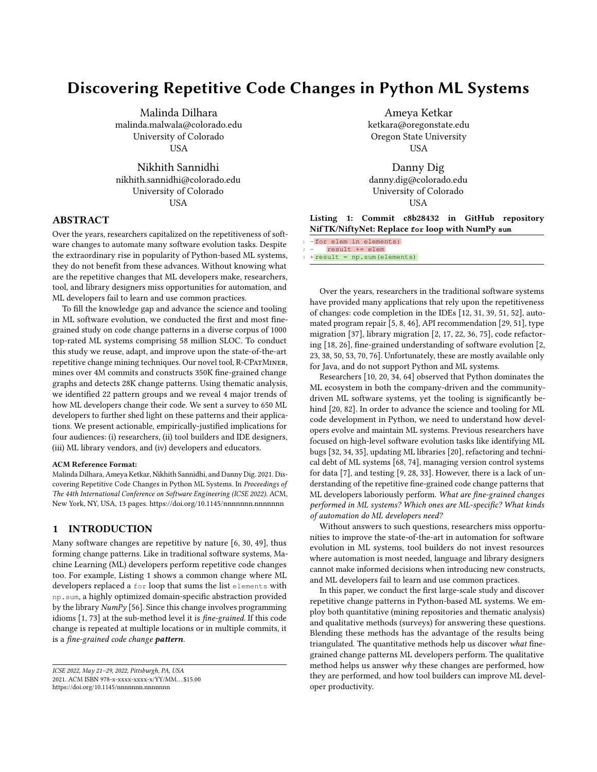# Discovering Repetitive Code Changes in Python ML Systems

Malinda Dilhara malinda.malwala@colorado.edu University of Colorado **IISA** 

Nikhith Sannidhi nikhith.sannidhi@colorado.edu University of Colorado USA

# ABSTRACT

Over the years, researchers capitalized on the repetitiveness of software changes to automate many software evolution tasks. Despite the extraordinary rise in popularity of Python-based ML systems, they do not benefit from these advances. Without knowing what are the repetitive changes that ML developers make, researchers, tool, and library designers miss opportunities for automation, and ML developers fail to learn and use common practices.

To fill the knowledge gap and advance the science and tooling in ML software evolution, we conducted the first and most finegrained study on code change patterns in a diverse corpus of 1000 top-rated ML systems comprising 58 million SLOC. To conduct this study we reuse, adapt, and improve upon the state-of-the-art repetitive change mining techniques. Our novel tool, R-CPatMiner, mines over 4M commits and constructs 350K fine-grained change graphs and detects 28K change patterns. Using thematic analysis, we identified 22 pattern groups and we reveal 4 major trends of how ML developers change their code. We sent a survey to 650 ML developers to further shed light on these patterns and their applications. We present actionable, empirically-justified implications for four audiences: (i) researchers, (ii) tool builders and IDE designers, (iii) ML library vendors, and (iv) developers and educators.

#### ACM Reference Format:

Malinda Dilhara, Ameya Ketkar, Nikhith Sannidhi, and Danny Dig. 2021. Discovering Repetitive Code Changes in Python ML Systems. In Proceedings of The 44th International Conference on Software Engineering (ICSE 2022). ACM, New York, NY, USA, [13](#page-12-0) pages.<https://doi.org/10.1145/nnnnnnn.nnnnnnn>

# 1 INTRODUCTION

Many software changes are repetitive by nature [\[6,](#page-10-0) [30,](#page-10-1) [49\]](#page-11-0), thus forming change patterns. Like in traditional software systems, Machine Learning (ML) developers perform repetitive code changes too. For example, Listing [1](#page-0-0) shows a common change where ML developers replaced a for loop that sums the list elements with np.sum, a highly optimized domain-specific abstraction provided by the library  $NumPy$  [\[56\]](#page-11-1). Since this change involves programming idioms [\[1,](#page-10-2) [73\]](#page-11-2) at the sub-method level it is fine-grained. If this code change is repeated at multiple locations or in multiple commits, it is a fine-grained code change pattern.

Ameya Ketkar ketkara@oregonstate.edu Oregon State University USA

Danny Dig danny.dig@colorado.edu University of Colorado USA

Listing 1: Commit c8b28432 in GitHub repository NifTK/NiftyNet: Replace **for** loop with NumPy **sum**

| -for elem in elements: |
|------------------------|
|------------------------|

result += elem

 $+ result = np.sum(elements)$ 

Over the years, researchers in the traditional software systems have provided many applications that rely upon the repetitiveness of changes: code completion in the IDEs [\[12,](#page-10-3) [31,](#page-10-4) [39,](#page-11-3) [51,](#page-11-4) [52\]](#page-11-5), automated program repair [\[5,](#page-10-5) [8,](#page-10-6) [46\]](#page-11-6), API recommendation [\[29,](#page-10-7) [51\]](#page-11-4), type migration [\[37\]](#page-11-7), library migration [\[2,](#page-10-8) [17,](#page-10-9) [22,](#page-10-10) [36,](#page-11-8) [75\]](#page-11-9), code refactoring [\[18,](#page-10-11) [26\]](#page-10-12), fine-grained understanding of software evolution [\[2,](#page-10-8) [23,](#page-10-13) [38,](#page-11-10) [50,](#page-11-11) [53,](#page-11-12) [70,](#page-11-13) [76\]](#page-11-14). Unfortunately, these are mostly available only for Java, and do not support Python and ML systems.

Researchers [\[10,](#page-10-14) [20,](#page-10-15) [34,](#page-11-15) [64\]](#page-11-16) observed that Python dominates the ML ecosystem in both the company-driven and the communitydriven ML software systems, yet the tooling is significantly behind [\[20,](#page-10-15) [82\]](#page-11-17). In order to advance the science and tooling for ML code development in Python, we need to understand how developers evolve and maintain ML systems. Previous researchers have focused on high-level software evolution tasks like identifying ML bugs [\[32,](#page-10-16) [34,](#page-11-15) [35\]](#page-11-18), updating ML libraries [\[20\]](#page-10-15), refactoring and technical debt of ML systems [\[68,](#page-11-19) [74\]](#page-11-20), managing version control systems for data [\[7\]](#page-10-17), and testing [\[9,](#page-10-18) [28,](#page-10-19) [33\]](#page-10-20). However, there is a lack of understanding of the repetitive fine-grained code change patterns that ML developers laboriously perform. What are fine-grained changes performed in ML systems? Which ones are ML-specific? What kinds of automation do ML developers need?

Without answers to such questions, researchers miss opportunities to improve the state-of-the-art in automation for software evolution in ML systems, tool builders do not invest resources where automation is most needed, language and library designers cannot make informed decisions when introducing new constructs, and ML developers fail to learn and use common practices.

In this paper, we conduct the first large-scale study and discover repetitive change patterns in Python-based ML systems. We employ both quantitative (mining repositories and thematic analysis) and qualitative methods (surveys) for answering these questions. Blending these methods has the advantage of the results being triangulated. The quantitative methods help us discover what finegrained change patterns ML developers perform. The qualitative method helps us answer why these changes are performed, how they are performed, and how tool builders can improve ML developer productivity.

<span id="page-0-0"></span>ICSE 2022, May 21–29, 2022, Pittsburgh, PA, USA 2021. ACM ISBN 978-x-xxxx-xxxx-x/YY/MM. . . \$15.00 <https://doi.org/10.1145/nnnnnnn.nnnnnnn>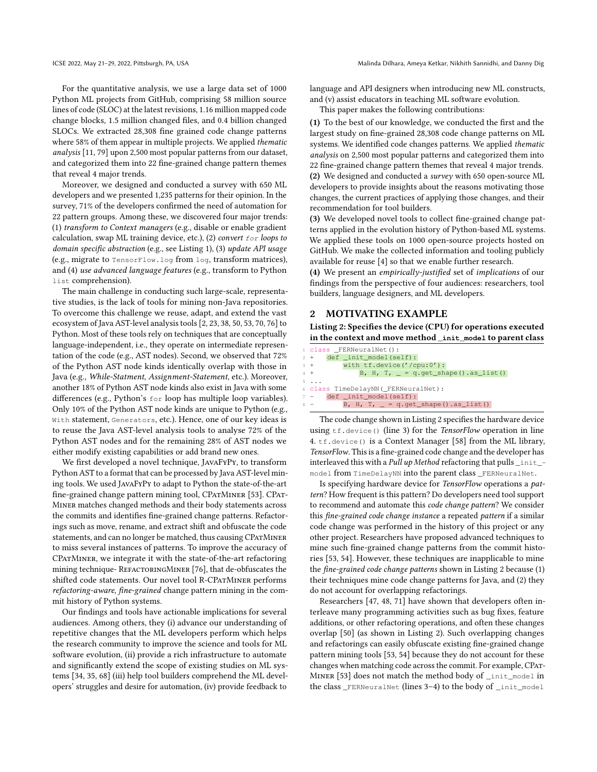For the quantitative analysis, we use a large data set of 1000 Python ML projects from GitHub, comprising 58 million source lines of code (SLOC) at the latest revisions, 1.16 million mapped code change blocks, 1.5 million changed files, and 0.4 billion changed SLOCs. We extracted 28,308 fine grained code change patterns where 58% of them appear in multiple projects. We applied thematic analysis [\[11,](#page-10-21) [79\]](#page-11-21) upon 2,500 most popular patterns from our dataset, and categorized them into 22 fine-grained change pattern themes that reveal 4 major trends.

Moreover, we designed and conducted a survey with 650 ML developers and we presented 1,235 patterns for their opinion. In the survey, 71% of the developers confirmed the need of automation for 22 pattern groups. Among these, we discovered four major trends: (1) transform to Context managers (e.g., disable or enable gradient calculation, swap ML training device, etc.), (2) convert for loops to domain specific abstraction (e.g., see Listing [1\)](#page-0-0), (3) update API usage (e.g., migrate to TensorFlow.log from log, transform matrices), and (4) use advanced language features (e.g., transform to Python list comprehension).

The main challenge in conducting such large-scale, representative studies, is the lack of tools for mining non-Java repositories. To overcome this challenge we reuse, adapt, and extend the vast ecosystem of Java AST-level analysis tools [\[2,](#page-10-8) [23,](#page-10-13) [38,](#page-11-10) [50,](#page-11-11) [53,](#page-11-12) [70,](#page-11-13) [76\]](#page-11-14) to Python. Most of these tools rely on techniques that are conceptually language-independent, i.e., they operate on intermediate representation of the code (e.g., AST nodes). Second, we observed that 72% of the Python AST node kinds identically overlap with those in Java (e.g., While-Statment, Assignment-Statement, etc.). Moreover, another 18% of Python AST node kinds also exist in Java with some differences (e.g., Python's for loop has multiple loop variables). Only 10% of the Python AST node kinds are unique to Python (e.g., With statement, Generators, etc.). Hence, one of our key ideas is to reuse the Java AST-level analysis tools to analyse 72% of the Python AST nodes and for the remaining 28% of AST nodes we either modify existing capabilities or add brand new ones.

We first developed a novel technique, JavaFyPy, to transform Python AST to a format that can be processed by Java AST-level mining tools. We used JavaFyPy to adapt to Python the state-of-the-art fine-grained change pattern mining tool, CPATMINER [\[53\]](#page-11-12). CPAT-Miner matches changed methods and their body statements across the commits and identifies fine-grained change patterns. Refactorings such as move, rename, and extract shift and obfuscate the code statements, and can no longer be matched, thus causing CPATMINER to miss several instances of patterns. To improve the accuracy of CPatMiner, we integrate it with the state-of-the-art refactoring mining technique- REFACTORINGMINER [\[76\]](#page-11-14), that de-obfuscates the shifted code statements. Our novel tool R-CPATMINER performs refactoring-aware, fine-grained change pattern mining in the commit history of Python systems.

Our findings and tools have actionable implications for several audiences. Among others, they (i) advance our understanding of repetitive changes that the ML developers perform which helps the research community to improve the science and tools for ML software evolution, (ii) provide a rich infrastructure to automate and significantly extend the scope of existing studies on ML systems [\[34,](#page-11-15) [35,](#page-11-18) [68\]](#page-11-19) (iii) help tool builders comprehend the ML developers' struggles and desire for automation, (iv) provide feedback to

language and API designers when introducing new ML constructs, and (v) assist educators in teaching ML software evolution.

This paper makes the following contributions:

(1) To the best of our knowledge, we conducted the first and the largest study on fine-grained 28,308 code change patterns on ML systems. We identified code changes patterns. We applied thematic analysis on 2,500 most popular patterns and categorized them into 22 fine-grained change pattern themes that reveal 4 major trends. (2) We designed and conducted a survey with 650 open-source ML developers to provide insights about the reasons motivating those changes, the current practices of applying those changes, and their recommendation for tool builders.

(3) We developed novel tools to collect fine-grained change patterns applied in the evolution history of Python-based ML systems. We applied these tools on 1000 open-source projects hosted on GitHub. We make the collected information and tooling publicly available for reuse [\[4\]](#page-10-22) so that we enable further research.

(4) We present an empirically-justified set of implications of our findings from the perspective of four audiences: researchers, tool builders, language designers, and ML developers.

#### <span id="page-1-1"></span>2 MOTIVATING EXAMPLE

<span id="page-1-0"></span>Listing 2: Specifies the device (CPU) for operations executed in the context and move method **\_init\_model** to parent class

| d class FERNeuralNet():                        |
|------------------------------------------------|
| $2 +$ def _init_model(self):                   |
| with $tf.device('/cpu:0')$ :<br>$3 +$          |
| B, H, T, $= q.get.shape() as_list()$<br>$4 +$  |
| $5 \cdot . \cdot .$                            |
| 6 class TimeDelayNN(_FERNeuralNet):            |
| $7 -$ def _init_model(self):                   |
| $8 -$<br>B, H, T, $= q.get.shape() .as_list()$ |

The code change shown in Listing [2](#page-1-0) specifies the hardware device using  $tf.\n$ evice() (line 3) for the *TensorFlow* operation in line 4. tf.device() is a Context Manager [\[58\]](#page-11-22) from the ML library, TensorFlow. This is a fine-grained code change and the developer has interleaved this with a Pull up Method refactoring that pulls  $\__$  init $\__$ model from TimeDelayNN into the parent class \_FERNeuralNet.

Is specifying hardware device for TensorFlow operations a pattern? How frequent is this pattern? Do developers need tool support to recommend and automate this code change pattern? We consider this fine-grained code change instance a repeated pattern if a similar code change was performed in the history of this project or any other project. Researchers have proposed advanced techniques to mine such fine-grained change patterns from the commit histories [\[53,](#page-11-12) [54\]](#page-11-23). However, these techniques are inapplicable to mine the fine-grained code change patterns shown in Listing [2](#page-1-0) because (1) their techniques mine code change patterns for Java, and (2) they do not account for overlapping refactorings.

Researchers [\[47,](#page-11-24) [48,](#page-11-25) [71\]](#page-11-26) have shown that developers often interleave many programming activities such as bug fixes, feature additions, or other refactoring operations, and often these changes overlap [\[50\]](#page-11-11) (as shown in Listing [2\)](#page-1-0). Such overlapping changes and refactorings can easily obfuscate existing fine-grained change pattern mining tools [\[53,](#page-11-12) [54\]](#page-11-23) because they do not account for these changes when matching code across the commit. For example, CPat-Miner [\[53\]](#page-11-12) does not match the method body of \_init\_model in the class \_FERNeuralNet (lines 3–4) to the body of \_init\_model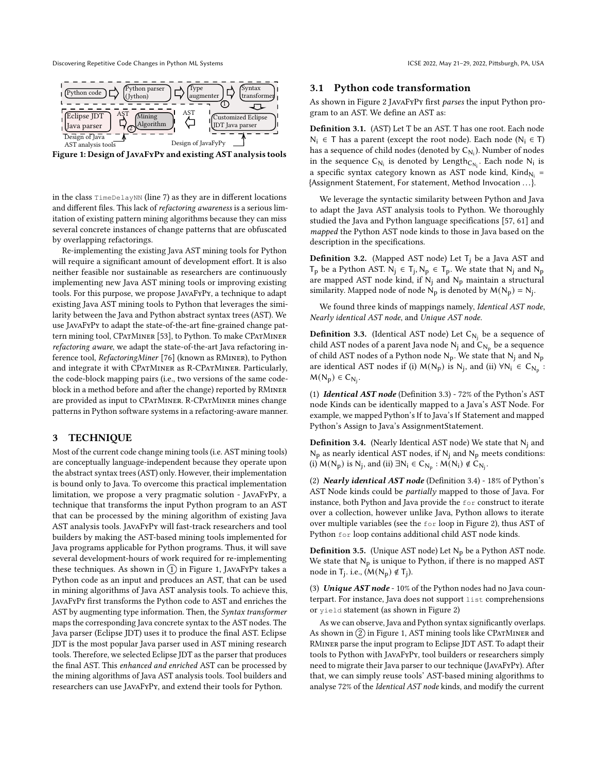<span id="page-2-0"></span>Discovering Repetitive Code Changes in Python ML Systems ICSE 2022, May 21-29, 2022, Pittsburgh, PA, USA

Figure 1: Design of JavaFyPy and existing AST analysis tools

in the class TimeDelayNN (line 7) as they are in different locations and different files. This lack of refactoring awareness is a serious limitation of existing pattern mining algorithms because they can miss several concrete instances of change patterns that are obfuscated by overlapping refactorings.

Re-implementing the existing Java AST mining tools for Python will require a significant amount of development effort. It is also neither feasible nor sustainable as researchers are continuously implementing new Java AST mining tools or improving existing tools. For this purpose, we propose JavaFyPy, a technique to adapt existing Java AST mining tools to Python that leverages the similarity between the Java and Python abstract syntax trees (AST). We use JavaFyPy to adapt the state-of-the-art fine-grained change pat-tern mining tool, CPATMINER [\[53\]](#page-11-12), to Python. To make CPATMINER refactoring aware, we adapt the state-of-the-art Java refactoring inference tool, RefactoringMiner [\[76\]](#page-11-14) (known as RMiner), to Python and integrate it with CPatMiner as R-CPatMiner. Particularly, the code-block mapping pairs (i.e., two versions of the same codeblock in a method before and after the change) reported by RMiner are provided as input to CPatMiner. R-CPatMiner mines change patterns in Python software systems in a refactoring-aware manner.

#### 3 TECHNIQUE

Most of the current code change mining tools (i.e. AST mining tools) are conceptually language-independent because they operate upon the abstract syntax trees (AST) only. However, their implementation is bound only to Java. To overcome this practical implementation limitation, we propose a very pragmatic solution - JavaFyPy, a technique that transforms the input Python program to an AST that can be processed by the mining algorithm of existing Java AST analysis tools. JavaFyPy will fast-track researchers and tool builders by making the AST-based mining tools implemented for Java programs applicable for Python programs. Thus, it will save several development-hours of work required for re-implementing these techniques. As shown in  $(1)$  in Figure [1,](#page-2-0) JAVAFYPY takes a Python code as an input and produces an AST, that can be used in mining algorithms of Java AST analysis tools. To achieve this, JavaFyPy first transforms the Python code to AST and enriches the AST by augmenting type information. Then, the Syntax transformer maps the corresponding Java concrete syntax to the AST nodes. The Java parser (Eclipse JDT) uses it to produce the final AST. Eclipse JDT is the most popular Java parser used in AST mining research tools. Therefore, we selected Eclipse JDT as the parser that produces the final AST. This enhanced and enriched AST can be processed by the mining algorithms of Java AST analysis tools. Tool builders and researchers can use JavaFyPy, and extend their tools for Python.

#### 3.1 Python code transformation

As shown in Figure [2](#page-3-0) JavaFyPy first parses the input Python program to an AST. We define an AST as:

Definition 3.1. (AST) Let T be an AST. T has one root. Each node N<sub>i</sub> ∈ T has a parent (except the root node). Each node (N<sub>i</sub> ∈ T) has a sequence of child nodes (denoted by  $C_{\mathsf{N_i}}$ ). Number of nodes in the sequence  $C_{N_i}$  is denoted by Length $_{C_{N_i}}$ . Each node  $N_i$  is a specific syntax category known as AST node kind,  $\mathsf{Kind}_{\mathsf{N_i}} =$ {Assignment Statement, For statement, Method Invocation . . .}.

We leverage the syntactic similarity between Python and Java to adapt the Java AST analysis tools to Python. We thoroughly studied the Java and Python language specifications [\[57,](#page-11-27) [61\]](#page-11-28) and mapped the Python AST node kinds to those in Java based on the description in the specifications.

**Definition 3.2.** (Mapped AST node) Let  $T_i$  be a Java AST and  $T_p$  be a Python AST.  $N_j \in T_j$ ,  $N_p \in T_p$ . We state that  $N_j$  and  $N_p$ are mapped AST node kind, if  $N_i$  and  $N_p$  maintain a structural similarity. Mapped node of node  $N_p$  is denoted by  $M(N_p) = N_j$ .

We found three kinds of mappings namely, Identical AST node, Nearly identical AST node, and Unique AST node.

<span id="page-2-1"></span>**Definition 3.3.** (Identical AST node) Let  $C_{N_j}$  be a sequence of child AST nodes of a parent Java node  $\mathsf{N}_\mathsf{j}$  and  $\mathsf{C}_{\mathsf{N}_\mathsf{p}}$  be a sequence of child AST nodes of a Python node  $N_p$ . We state that  $N_j$  and  $N_p$ are identical AST nodes if (i)  $M(N_p)$  is  $N_j$ , and (ii)  $\forall N_i \in C_{N_p}$ :  $M(N_p) \in C_{N_j}.$ 

(1) Identical AST node (Definition [3.3\)](#page-2-1) - 72% of the Python's AST node Kinds can be identically mapped to a Java's AST Node. For example, we mapped Python's If to Java's If Statement and mapped Python's Assign to Java's AssignmentStatement.

<span id="page-2-2"></span>**Definition 3.4.** (Nearly Identical AST node) We state that  $N_i$  and  $N_p$  as nearly identical AST nodes, if  $N_j$  and  $N_p$  meets conditions: (i)  $M(N_p)$  is  $N_j$ , and (ii)  $\exists N_i \in C_{N_p} : M(N_i) \notin C_{N_j}$ .

(2) Nearly identical AST node (Definition [3.4\)](#page-2-2) - 18% of Python's AST Node kinds could be partially mapped to those of Java. For instance, both Python and Java provide the for construct to iterate over a collection, however unlike Java, Python allows to iterate over multiple variables (see the for loop in Figure [2\)](#page-3-0), thus AST of Python for loop contains additional child AST node kinds.

**Definition 3.5.** (Unique AST node) Let  $N_p$  be a Python AST node. We state that  $N_p$  is unique to Python, if there is no mapped AST node in T<sub>j</sub>. i.e.,  $(M(N_p) \notin T_j)$ .

(3) Unique  $AST node - 10\%$  of the Python nodes had no Java counterpart. For instance, Java does not support list comprehensions or yield statement (as shown in Figure [2\)](#page-3-0)

As we can observe, Java and Python syntax significantly overlaps. As shown in  $(2)$  in Figure [1,](#page-2-0) AST mining tools like CPATMINER and RMiner parse the input program to Eclipse JDT AST. To adapt their tools to Python with JavaFyPy, tool builders or researchers simply need to migrate their Java parser to our technique (JavaFyPy). After that, we can simply reuse tools' AST-based mining algorithms to analyse 72% of the Identical AST node kinds, and modify the current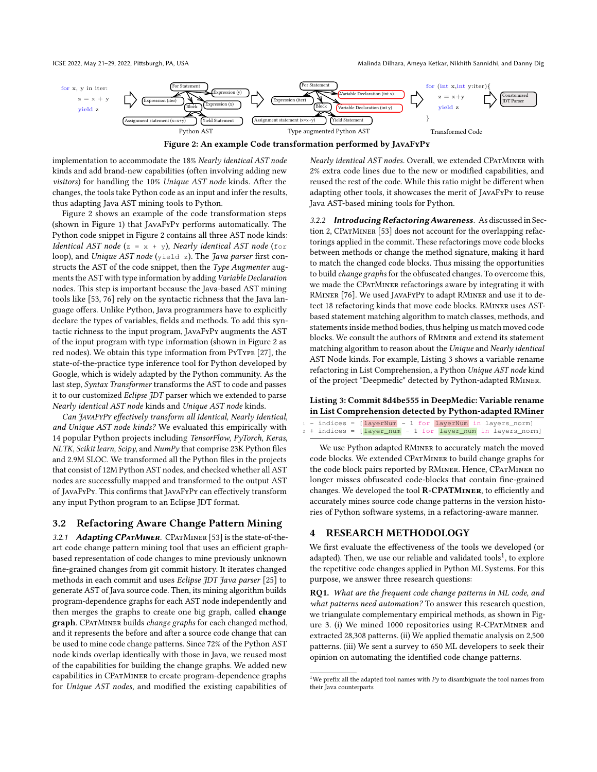<span id="page-3-0"></span>

Figure 2: An example Code transformation performed by JavaFyPy

implementation to accommodate the 18% Nearly identical AST node kinds and add brand-new capabilities (often involving adding new visitors) for handling the 10% Unique AST node kinds. After the changes, the tools take Python code as an input and infer the results, thus adapting Java AST mining tools to Python.

Figure [2](#page-3-0) shows an example of the code transformation steps (shown in Figure [1\)](#page-2-0) that JavaFyPy performs automatically. The Python code snippet in Figure [2](#page-3-0) contains all three AST node kinds: Identical AST node (z =  $x + y$ ), Nearly identical AST node (for loop), and Unique AST node (yield z). The Java parser first constructs the AST of the code snippet, then the Type Augmenter augments the AST with type information by adding Variable Declaration nodes. This step is important because the Java-based AST mining tools like [\[53,](#page-11-12) [76\]](#page-11-14) rely on the syntactic richness that the Java language offers. Unlike Python, Java programmers have to explicitly declare the types of variables, fields and methods. To add this syntactic richness to the input program, JavaFyPy augments the AST of the input program with type information (shown in Figure [2](#page-3-0) as red nodes). We obtain this type information from PyType [\[27\]](#page-10-23), the state-of-the-practice type inference tool for Python developed by Google, which is widely adapted by the Python community. As the last step, Syntax Transformer transforms the AST to code and passes it to our customized Eclipse JDT parser which we extended to parse Nearly identical AST node kinds and Unique AST node kinds.

Can JavaFyPy effectively transform all Identical, Nearly Identical, and Unique AST node kinds? We evaluated this empirically with 14 popular Python projects including TensorFlow, PyTorch, Keras, NLTK, Scikit learn, Scipy, and NumPy that comprise 23K Python files and 2.9M SLOC. We transformed all the Python files in the projects that consist of 12M Python AST nodes, and checked whether all AST nodes are successfully mapped and transformed to the output AST of JavaFyPy. This confirms that JavaFyPy can effectively transform any input Python program to an Eclipse JDT format.

# 3.2 Refactoring Aware Change Pattern Mining

3.2.1 Adapting CPATMINER. CPATMINER [\[53\]](#page-11-12) is the state-of-theart code change pattern mining tool that uses an efficient graphbased representation of code changes to mine previously unknown fine-grained changes from git commit history. It iterates changed methods in each commit and uses Eclipse JDT Java parser [\[25\]](#page-10-24) to generate AST of Java source code. Then, its mining algorithm builds program-dependence graphs for each AST node independently and then merges the graphs to create one big graph, called change graph. CPATMINER builds change graphs for each changed method, and it represents the before and after a source code change that can be used to mine code change patterns. Since 72% of the Python AST node kinds overlap identically with those in Java, we reused most of the capabilities for building the change graphs. We added new capabilities in CPatMiner to create program-dependence graphs for Unique AST nodes, and modified the existing capabilities of

Nearly identical AST nodes. Overall, we extended CPATMINER with 2% extra code lines due to the new or modified capabilities, and reused the rest of the code. While this ratio might be different when adapting other tools, it showcases the merit of JavaFyPy to reuse Java AST-based mining tools for Python.

3.2.2 Introducing Refactoring Awareness. As discussed in Sec-tion [2,](#page-1-1) CPATMINER [\[53\]](#page-11-12) does not account for the overlapping refactorings applied in the commit. These refactorings move code blocks between methods or change the method signature, making it hard to match the changed code blocks. Thus missing the opportunities to build change graphs for the obfuscated changes. To overcome this, we made the CPatMiner refactorings aware by integrating it with RMiner [\[76\]](#page-11-14). We used JavaFyPy to adapt RMiner and use it to detect 18 refactoring kinds that move code blocks. RMiner uses ASTbased statement matching algorithm to match classes, methods, and statements inside method bodies, thus helping us match moved code blocks. We consult the authors of RMiner and extend its statement matching algorithm to reason about the Unique and Nearly identical AST Node kinds. For example, Listing [3](#page-3-1) shows a variable rename refactoring in List Comprehension, a Python Unique AST node kind of the project "Deepmedic" detected by Python-adapted RMiner.

#### <span id="page-3-1"></span>Listing 3: Commit 8d4be555 in DeepMedic: Variable rename in List Comprehension detected by Python-adapted RMiner

|  |  | - indices = [layerNum - 1 for layerNum in layers_norm]            |  |  |  |  |
|--|--|-------------------------------------------------------------------|--|--|--|--|
|  |  | $2 +$ indices = $[layer\_num - 1 for layer\_num in layers\_norm]$ |  |  |  |  |

We use Python adapted RMiner to accurately match the moved code blocks. We extended CPatMiner to build change graphs for the code block pairs reported by RMINER. Hence, CPATMINER no longer misses obfuscated code-blocks that contain fine-grained changes. We developed the tool R-CPATMiner, to efficiently and accurately mines source code change patterns in the version histories of Python software systems, in a refactoring-aware manner.

# 4 RESEARCH METHODOLOGY

We first evaluate the effectiveness of the tools we developed (or adapted). Then, we use our reliable and validated tools<sup>[1](#page-3-2)</sup>, to explore the repetitive code changes applied in Python ML Systems. For this purpose, we answer three research questions:

RQ1. What are the frequent code change patterns in ML code, and what patterns need automation? To answer this research question, we triangulate complementary empirical methods, as shown in Fig-ure [3.](#page-4-0) (i) We mined 1000 repositories using R-CPATMINER and extracted 28,308 patterns. (ii) We applied thematic analysis on 2,500 patterns. (iii) We sent a survey to 650 ML developers to seek their opinion on automating the identified code change patterns.

<span id="page-3-2"></span> $^{\rm 1}{\rm We}$  prefix all the adapted tool names with  $Py$  to disambiguate the tool names from their Java counterparts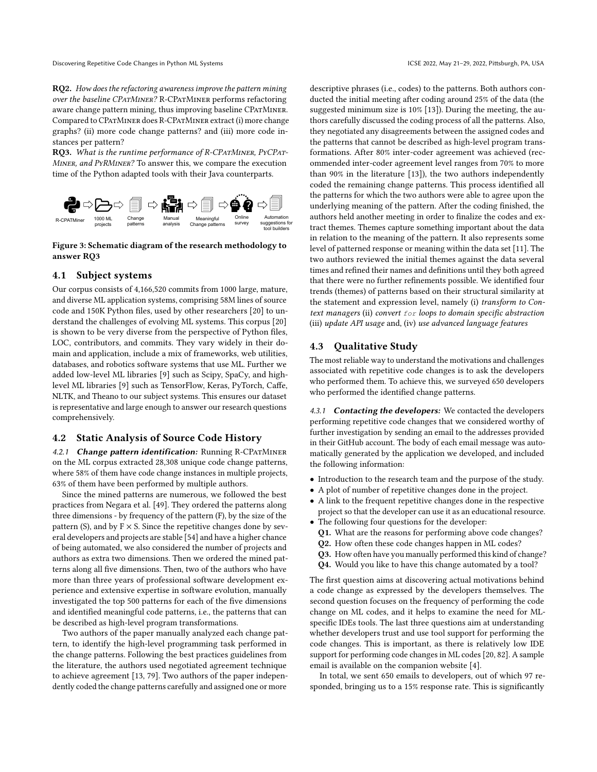RQ2. How does the refactoring awareness improve the pattern mining over the baseline CPatMiner? R-CPatMiner performs refactoring aware change pattern mining, thus improving baseline CPATMINER. Compared to CPatMiner does R-CPatMiner extract (i) more change graphs? (ii) more code change patterns? and (iii) more code instances per pattern?

RQ3. What is the runtime performance of R-CPATMINER, PYCPAT-Miner, and PyRMiner? To answer this, we compare the execution time of the Python adapted tools with their Java counterparts.

<span id="page-4-0"></span>

#### Figure 3: Schematic diagram of the research methodology to answer RQ3

#### <span id="page-4-1"></span>4.1 Subject systems

Our corpus consists of 4,166,520 commits from 1000 large, mature, and diverse ML application systems, comprising 58M lines of source code and 150K Python files, used by other researchers [\[20\]](#page-10-15) to understand the challenges of evolving ML systems. This corpus [\[20\]](#page-10-15) is shown to be very diverse from the perspective of Python files, LOC, contributors, and commits. They vary widely in their domain and application, include a mix of frameworks, web utilities, databases, and robotics software systems that use ML. Further we added low-level ML libraries [\[9\]](#page-10-18) such as Scipy, SpaCy, and highlevel ML libraries [\[9\]](#page-10-18) such as TensorFlow, Keras, PyTorch, Caffe, NLTK, and Theano to our subject systems. This ensures our dataset is representative and large enough to answer our research questions comprehensively.

#### 4.2 Static Analysis of Source Code History

4.2.1 Change pattern identification: Running R-CPATMINER on the ML corpus extracted 28,308 unique code change patterns, where 58% of them have code change instances in multiple projects, 63% of them have been performed by multiple authors.

Since the mined patterns are numerous, we followed the best practices from Negara et al. [\[49\]](#page-11-0). They ordered the patterns along three dimensions - by frequency of the pattern (F), by the size of the pattern (S), and by  $F \times S$ . Since the repetitive changes done by several developers and projects are stable [\[54\]](#page-11-23) and have a higher chance of being automated, we also considered the number of projects and authors as extra two dimensions. Then we ordered the mined patterns along all five dimensions. Then, two of the authors who have more than three years of professional software development experience and extensive expertise in software evolution, manually investigated the top 500 patterns for each of the five dimensions and identified meaningful code patterns, i.e., the patterns that can be described as high-level program transformations.

Two authors of the paper manually analyzed each change pattern, to identify the high-level programming task performed in the change patterns. Following the best practices guidelines from the literature, the authors used negotiated agreement technique to achieve agreement [\[13,](#page-10-25) [79\]](#page-11-21). Two authors of the paper independently coded the change patterns carefully and assigned one or more

descriptive phrases (i.e., codes) to the patterns. Both authors conducted the initial meeting after coding around 25% of the data (the suggested minimum size is 10% [\[13\]](#page-10-25)). During the meeting, the authors carefully discussed the coding process of all the patterns. Also, they negotiated any disagreements between the assigned codes and the patterns that cannot be described as high-level program transformations. After 80% inter-coder agreement was achieved (recommended inter-coder agreement level ranges from 70% to more than 90% in the literature [\[13\]](#page-10-25)), the two authors independently coded the remaining change patterns. This process identified all the patterns for which the two authors were able to agree upon the underlying meaning of the pattern. After the coding finished, the authors held another meeting in order to finalize the codes and extract themes. Themes capture something important about the data in relation to the meaning of the pattern. It also represents some level of patterned response or meaning within the data set [\[11\]](#page-10-21). The two authors reviewed the initial themes against the data several times and refined their names and definitions until they both agreed that there were no further refinements possible. We identified four trends (themes) of patterns based on their structural similarity at the statement and expression level, namely (i) transform to Context managers (ii) convert  $for$  loops to domain specific abstraction (iii) update API usage and, (iv) use advanced language features

#### 4.3 Qualitative Study

The most reliable way to understand the motivations and challenges associated with repetitive code changes is to ask the developers who performed them. To achieve this, we surveyed 650 developers who performed the identified change patterns.

4.3.1 Contacting the developers: We contacted the developers performing repetitive code changes that we considered worthy of further investigation by sending an email to the addresses provided in their GitHub account. The body of each email message was automatically generated by the application we developed, and included the following information:

- Introduction to the research team and the purpose of the study.
- A plot of number of repetitive changes done in the project.
- A link to the frequent repetitive changes done in the respective project so that the developer can use it as an educational resource.
- The following four questions for the developer:
	- Q1. What are the reasons for performing above code changes?
	- Q2. How often these code changes happen in ML codes?
	- Q3. How often have you manually performed this kind of change?
	- Q4. Would you like to have this change automated by a tool?

The first question aims at discovering actual motivations behind a code change as expressed by the developers themselves. The second question focuses on the frequency of performing the code change on ML codes, and it helps to examine the need for MLspecific IDEs tools. The last three questions aim at understanding whether developers trust and use tool support for performing the code changes. This is important, as there is relatively low IDE support for performing code changes in ML codes [\[20,](#page-10-15) [82\]](#page-11-17). A sample email is available on the companion website [\[4\]](#page-10-22).

In total, we sent 650 emails to developers, out of which 97 responded, bringing us to a 15% response rate. This is significantly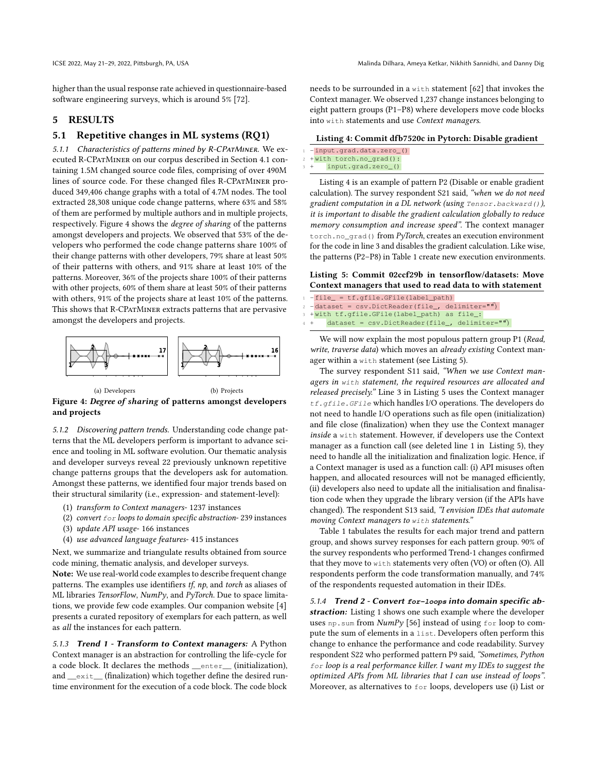higher than the usual response rate achieved in questionnaire-based software engineering surveys, which is around 5% [\[72\]](#page-11-29).

# 5 RESULTS

#### 5.1 Repetitive changes in ML systems (RQ1)

5.1.1 Characteristics of patterns mined by R-CPATMINER. We executed R-CPatMiner on our corpus described in Section [4.1](#page-4-1) containing 1.5M changed source code files, comprising of over 490M lines of source code. For these changed files R-CPatMiner produced 349,406 change graphs with a total of 4.7M nodes. The tool extracted 28,308 unique code change patterns, where 63% and 58% of them are performed by multiple authors and in multiple projects, respectively. Figure [4](#page-5-0) shows the degree of sharing of the patterns amongst developers and projects. We observed that 53% of the developers who performed the code change patterns share 100% of their change patterns with other developers, 79% share at least 50% of their patterns with others, and 91% share at least 10% of the patterns. Moreover, 36% of the projects share 100% of their patterns with other projects, 60% of them share at least 50% of their patterns with others, 91% of the projects share at least 10% of the patterns. This shows that R-CPATMINER extracts patterns that are pervasive amongst the developers and projects.

<span id="page-5-0"></span>

(b) Projects

Figure 4: Degree of sharing of patterns amongst developers and projects

5.1.2 Discovering pattern trends. Understanding code change patterns that the ML developers perform is important to advance science and tooling in ML software evolution. Our thematic analysis and developer surveys reveal 22 previously unknown repetitive change patterns groups that the developers ask for automation. Amongst these patterns, we identified four major trends based on their structural similarity (i.e., expression- and statement-level):

- (1) transform to Context managers- 1237 instances
- (2) convert for loops to domain specific abstraction- 239 instances
- (3) update API usage- 166 instances
- (4) use advanced language features- 415 instances

Next, we summarize and triangulate results obtained from source code mining, thematic analysis, and developer surveys.

Note: We use real-world code examples to describe frequent change patterns. The examples use identifiers tf, np, and torch as aliases of ML libraries TensorFlow, NumPy, and PyTorch. Due to space limitations, we provide few code examples. Our companion website [\[4\]](#page-10-22) presents a curated repository of exemplars for each pattern, as well as all the instances for each pattern.

5.1.3 Trend 1 - Transform to Context managers: A Python Context manager is an abstraction for controlling the life-cycle for a code block. It declares the methods \_\_enter\_\_ (initialization), and \_\_exit\_ (finalization) which together define the desired runtime environment for the execution of a code block. The code block

needs to be surrounded in a with statement [\[62\]](#page-11-30) that invokes the Context manager. We observed 1,237 change instances belonging to eight pattern groups (P1–P8) where developers move code blocks into with statements and use Context managers.

#### <span id="page-5-1"></span>Listing 4: Commit dfb7520c in Pytorch: Disable gradient

|  | -input.grad.data.zero_()  |  |  |
|--|---------------------------|--|--|
|  | 2 + with torch.no_grad(): |  |  |

input.grad.zero\_()

Listing [4](#page-5-1) is an example of pattern P2 (Disable or enable gradient calculation). The survey respondent S21 said, "when we do not need gradient computation in a DL network (using Tensor.backward()), it is important to disable the gradient calculation globally to reduce memory consumption and increase speed". The context manager torch.no\_grad() from PyTorch, creates an execution environment for the code in line 3 and disables the gradient calculation. Like wise, the patterns (P2–P8) in Table [1](#page-6-0) create new execution environments.

### <span id="page-5-2"></span>Listing 5: Commit 02ccf29b in tensorflow/datasets: Move Context managers that used to read data to with statement

- $-file$  =  $tf.qfile.GFile(label_path)$  $dataset = \text{csv.DictReader}(file_-, \text{ delimiter}=" \textbf{\textit{m}})$ +with tf.gfile.GFile(label\_path) as file\_:
- $dataset = \text{csv.DictReader}(file_, delimiter="")$

We will now explain the most populous pattern group P1 (Read, write, traverse data) which moves an already existing Context manager within a with statement (see Listing [5\)](#page-5-2).

The survey respondent S11 said, "When we use Context managers in with statement, the required resources are allocated and released precisely." Line 3 in Listing [5](#page-5-2) uses the Context manager tf.gfile.GFile which handles I/O operations. The developers do not need to handle I/O operations such as file open (initialization) and file close (finalization) when they use the Context manager inside a with statement. However, if developers use the Context manager as a function call (see deleted line 1 in Listing [5\)](#page-5-2), they need to handle all the initialization and finalization logic. Hence, if a Context manager is used as a function call: (i) API misuses often happen, and allocated resources will not be managed efficiently, (ii) developers also need to update all the initialisation and finalisation code when they upgrade the library version (if the APIs have changed). The respondent S13 said, "I envision IDEs that automate moving Context managers to with statements."

Table [1](#page-6-0) tabulates the results for each major trend and pattern group, and shows survey responses for each pattern group. 90% of the survey respondents who performed Trend-1 changes confirmed that they move to with statements very often (VO) or often (O). All respondents perform the code transformation manually, and 74% of the respondents requested automation in their IDEs.

5.1.4 Trend 2 - Convert **for-loops** into domain specific ab-straction: Listing [1](#page-0-0) shows one such example where the developer uses np.sum from  $NumPy$  [\[56\]](#page-11-1) instead of using for loop to compute the sum of elements in a list. Developers often perform this change to enhance the performance and code readability. Survey respondent S22 who performed pattern P9 said, "Sometimes, Python for loop is a real performance killer. I want my IDEs to suggest the optimized APIs from ML libraries that I can use instead of loops". Moreover, as alternatives to for loops, developers use (i) List or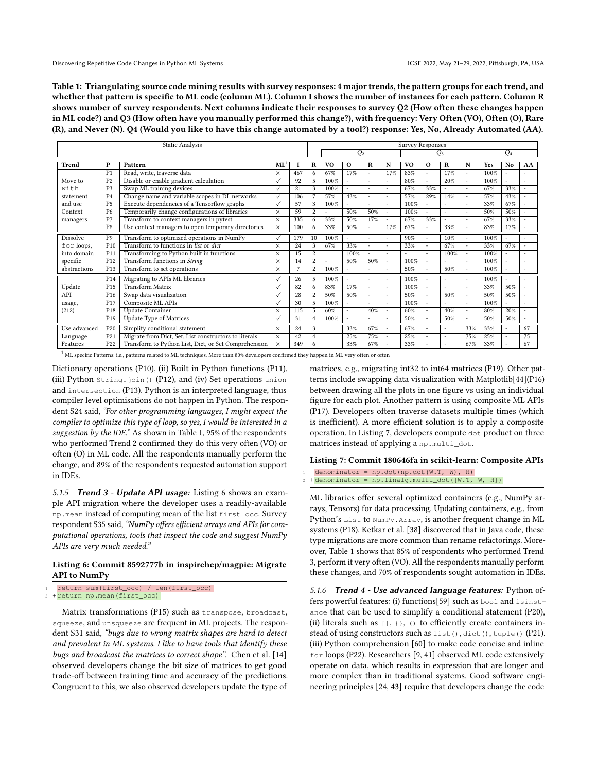<span id="page-6-0"></span>Table 1: Triangulating source code mining results with survey responses: 4 major trends, the pattern groups for each trend, and whether that pattern is specific to ML code (column ML). Column I shows the number of instances for each pattern. Column R shows number of survey respondents. Next columns indicate their responses to survey Q2 (How often these changes happen in ML code?) and Q3 (How often have you manually performed this change?), with frequency: Very Often (VO), Often (O), Rare (R), and Never (N). Q4 (Would you like to have this change automated by a tool?) response: Yes, No, Already Automated (AA).

| Static Analysis |                 |                                                       |              |     | Survey Responses |                          |                       |     |        |                |          |         |                          |      |                          |    |
|-----------------|-----------------|-------------------------------------------------------|--------------|-----|------------------|--------------------------|-----------------------|-----|--------|----------------|----------|---------|--------------------------|------|--------------------------|----|
|                 |                 |                                                       |              |     |                  | $Q_2$<br>$\mathcal{Q}_3$ |                       |     |        |                |          | $Q_4$   |                          |      |                          |    |
| Trend           | P               | Pattern                                               | ML           |     | R                | V <sub>0</sub>           | $\Omega$              | R   | N      | V <sub>0</sub> | $\Omega$ | $\bf R$ | N                        | Yes  | No                       | AA |
|                 | P <sub>1</sub>  | Read, write, traverse data                            | $\times$     | 467 | 6.               | 67%                      | 17%                   |     | 17%    | 83%            |          | 17%     | ٠                        | 100% |                          |    |
| Move to         | P <sub>2</sub>  | Disable or enable gradient calculation                | $\checkmark$ | 92  | 5                | 100%                     | $\sim$                |     |        | 80%            |          | 20%     | ٠                        | 100% |                          |    |
| with            | P <sub>3</sub>  | Swap ML training devices                              | $\checkmark$ | 21  | 3                | 100%                     | ٠                     |     | $\sim$ | 67%            | 33%      | ٠       | $\overline{\phantom{a}}$ | 67%  | 33%                      |    |
| statement       | P <sub>4</sub>  | Change name and variable scopes in DL networks        | $\checkmark$ | 106 | 7                | 57%                      | 43%                   |     | $\sim$ | 57%            | 29%      | 14%     | $\sim$                   | 57%  | 43%                      |    |
| and use         | P <sub>5</sub>  | Execute dependencies of a Tensorflow graphs           | $\checkmark$ | 57  | 3                | 100%                     | $\ddot{\phantom{1}}$  |     |        | 100%           |          |         | ٠                        | 33%  | 67%                      |    |
| Context         | P <sub>6</sub>  | Temporarily change configurations of libraries        | $\times$     | 59  | $\overline{2}$   |                          | 50%                   | 50% | $\sim$ | 100%           |          |         | ٠                        | 50%  | 50%                      |    |
| managers        | P7              | Transform to context managers in pytest               | $\times$     | 335 | 6                | 33%                      | 50%                   | 17% |        | 67%            | 33%      | ٠       | $\overline{\phantom{a}}$ | 67%  | 33%                      |    |
|                 | P <sub>8</sub>  | Use context managers to open temporary directories    | $\times$     | 100 | 6                | 33%                      | 50%                   |     | 17%    | 67%            |          | 33%     | $\tilde{\phantom{a}}$    | 83%  | 17%                      |    |
| Dissolve        | P <sub>9</sub>  | Transform to optimized operations in NumPy            | $\checkmark$ | 179 | 10               | 100%                     | ٠                     |     | ٠      | 90%            | ۰        | 10%     | $\overline{\phantom{a}}$ | 100% |                          | ۰  |
| for loops,      | P <sub>10</sub> | Transform to functions in list or dict                | $\times$     | 24  | 3                | 67%                      | 33%                   |     |        | 33%            |          | 67%     | ٠                        | 33%  | 67%                      |    |
| into domain     | P <sub>11</sub> | Transforming to Python built in functions             | $\times$     | 15  | $\overline{2}$   |                          | 100%                  |     | ۰      | ۰              |          | 100%    |                          | 100% |                          |    |
| specific        | P <sub>12</sub> | Transform functions in String                         | $\times$     | 14  | $\overline{2}$   | ۰                        | 50%                   | 50% | $\sim$ | 100%           |          |         | ٠                        | 100% |                          |    |
| abstractions    | P <sub>13</sub> | Transform to set operations                           | $\times$     | 7   | $\overline{2}$   | 100%                     | ٠                     |     | $\sim$ | 50%            |          | 50%     | ٠                        | 100% |                          | ۰  |
|                 | P <sub>14</sub> | Migrating to APIs ML libraries                        | $\checkmark$ | 26  | 5                | 100%                     | ÷,                    |     | ٠      | 100%           |          |         | $\overline{\phantom{a}}$ | 100% |                          |    |
| Update          | P <sub>15</sub> | Transform Matrix                                      | $\checkmark$ | 82  | 6                | 83%                      | 17%                   |     |        | 100%           |          |         | ٠                        | 33%  | 50%                      |    |
| API             | P <sub>16</sub> | Swap data visualization                               | $\checkmark$ | 28  | $\overline{2}$   | 50%                      | 50%                   |     |        | 50%            |          | 50%     | ٠                        | 50%  | 50%                      |    |
| usage,          | P <sub>17</sub> | Composite ML APIs                                     | $\vee$       | 30  | 5                | 100%                     | ٠                     |     |        | 100%           |          |         | ٠                        | 100% |                          |    |
| (212)           | P <sub>18</sub> | <b>Update Container</b>                               | $\times$     | 115 | 5.               | 60%                      | $\tilde{\phantom{a}}$ | 40% | $\sim$ | 60%            |          | 40%     | $\blacksquare$           | 80%  | 20%                      |    |
|                 | P <sub>19</sub> | <b>Update Type of Matrices</b>                        | $\vee$       | 31  | 4                | 100%                     |                       |     |        | 50%            |          | 50%     | ٠                        | 50%  | 50%                      |    |
| Use advanced    | P <sub>20</sub> | Simplify conditional statement                        | $\times$     | 24  | 3                |                          | 33%                   | 67% | ٠      | 67%            |          |         | 33%                      | 33%  | $\overline{\phantom{a}}$ | 67 |
| Language        | P <sub>21</sub> | Migrate from Dict, Set, List constructors to literals | $\times$     | 42  | $\overline{4}$   |                          | 25%                   | 75% | ٠      | 25%            |          | ۰       | 75%                      | 25%  | $\sim$                   | 75 |
| Features        | P <sub>22</sub> | Transform to Python List, Dict, or Set Comprehension  | $\times$     | 349 | 6.               |                          | 33%                   | 67% |        | 33%            |          |         | 67%                      | 33%  |                          | 67 |

 $1$  ML specific Patterns: i.e., patterns related to ML techniques. More than 80% developers confirmed they happen in ML very often or often

Dictionary operations (P10), (ii) Built in Python functions (P11), (iii) Python String.join() (P12), and (iv) Set operations union and intersection (P13). Python is an interpreted language, thus compiler level optimisations do not happen in Python. The respondent S24 said, "For other programming languages, I might expect the compiler to optimize this type of loop, so yes, I would be interested in a suggestion by the IDE." As shown in Table [1,](#page-6-0) 95% of the respondents who performed Trend 2 confirmed they do this very often (VO) or often (O) in ML code. All the respondents manually perform the change, and 89% of the respondents requested automation support in IDEs.

5.1.5 Trend 3 - Update API usage: Listing [6](#page-6-1) shows an example API migration where the developer uses a readily-available np.mean instead of computing mean of the list first\_occ. Survey respondent S35 said, "NumPy offers efficient arrays and APIs for computational operations, tools that inspect the code and suggest  $NumPy$ APIs are very much needed."

#### <span id="page-6-1"></span>Listing 6: Commit 8592777b in inspirehep/magpie: Migrate API to NumPy

|  | 1 -return sum(first occ) / len(first occ) |
|--|-------------------------------------------|
|  | <sup>2</sup> + return np.mean(first occ)  |

Matrix transformations (P15) such as transpose, broadcast, squeeze, and unsqueeze are frequent in ML projects. The respondent S31 said, "bugs due to wrong matrix shapes are hard to detect and prevalent in ML systems. I like to have tools that identify these bugs and broadcast the matrices to correct shape". Chen et al. [\[14\]](#page-10-26) observed developers change the bit size of matrices to get good trade-off between training time and accuracy of the predictions. Congruent to this, we also observed developers update the type of matrices, e.g., migrating int32 to int64 matrices (P19). Other patterns include swapping data visualization with Matplotlib[\[44\]](#page-11-31)(P16) between drawing all the plots in one figure vs using an individual figure for each plot. Another pattern is using composite ML APIs (P17). Developers often traverse datasets multiple times (which is inefficient). A more efficient solution is to apply a composite operation. In Listing [7,](#page-6-2) developers compute dot product on three matrices instead of applying a np.multi\_dot.

#### <span id="page-6-2"></span>Listing 7: Commit 180646fa in scikit-learn: Composite APIs

 $-\text{denominator} = \text{np.dot(np.dot}(W.T, W), H)$ +denominator = np.linalg.multi\_dot([W.T, W, H])

ML libraries offer several optimized containers (e.g., NumPy arrays, Tensors) for data processing. Updating containers, e.g., from Python's List to NumPy. Array, is another frequent change in ML systems (P18). Ketkar et al. [\[38\]](#page-11-10) discovered that in Java code, these type migrations are more common than rename refactorings. Moreover, Table [1](#page-6-0) shows that 85% of respondents who performed Trend 3, perform it very often (VO). All the respondents manually perform these changes, and 70% of respondents sought automation in IDEs.

5.1.6 Trend 4 - Use advanced language features: Python offers powerful features: (i) functions[\[59\]](#page-11-32) such as bool and isinstance that can be used to simplify a conditional statement (P20), (ii) literals such as  $[$ ],  $\{$ },  $\}$  to efficiently create containers instead of using constructors such as list(), dict(), tuple() (P21). (iii) Python comprehension [\[60\]](#page-11-33) to make code concise and inline for loops (P22). Researchers [\[9,](#page-10-18) [41\]](#page-11-34) observed ML code extensively operate on data, which results in expression that are longer and more complex than in traditional systems. Good software engineering principles [\[24,](#page-10-27) [43\]](#page-11-35) require that developers change the code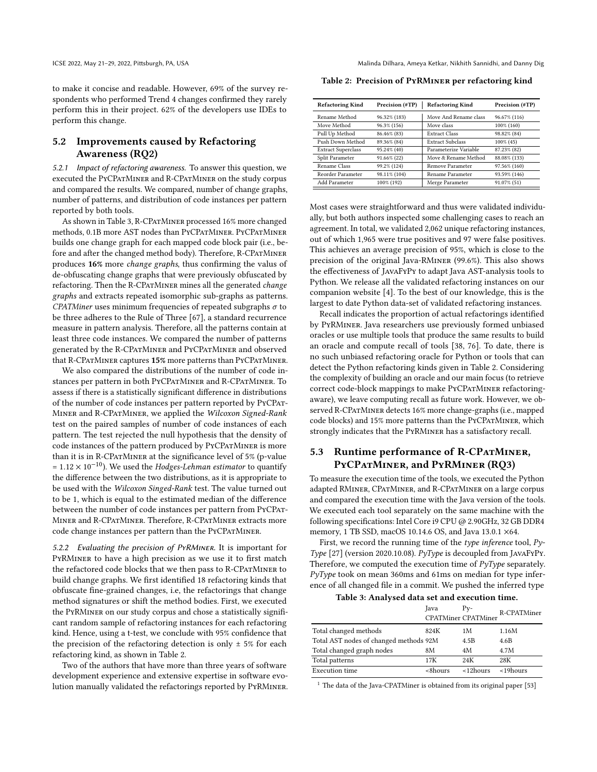to make it concise and readable. However, 69% of the survey respondents who performed Trend 4 changes confirmed they rarely perform this in their project. 62% of the developers use IDEs to perform this change.

# 5.2 Improvements caused by Refactoring Awareness (RQ2)

5.2.1 Impact of refactoring awareness. To answer this question, we executed the PyCPatMiner and R-CPatMiner on the study corpus and compared the results. We compared, number of change graphs, number of patterns, and distribution of code instances per pattern reported by both tools.

As shown in Table [3,](#page-7-0) R-CPatMiner processed 16% more changed methods, 0.1B more AST nodes than PyCPatMiner. PyCPatMiner builds one change graph for each mapped code block pair (i.e., before and after the changed method body). Therefore, R-CPATMINER produces 16% more change graphs, thus confirming the valus of de-obfuscating change graphs that were previously obfuscated by refactoring. Then the R-CPATMINER mines all the generated change graphs and extracts repeated isomorphic sub-graphs as patterns. CPATMiner uses minimum frequencies of repeated subgraphs  $\sigma$  to be three adheres to the Rule of Three [\[67\]](#page-11-36), a standard recurrence measure in pattern analysis. Therefore, all the patterns contain at least three code instances. We compared the number of patterns generated by the R-CPatMiner and PyCPatMiner and observed that R-CPATMINER captures 15% more patterns than PYCPATMINER.

We also compared the distributions of the number of code instances per pattern in both PyCPatMiner and R-CPatMiner. To assess if there is a statistically significant difference in distributions of the number of code instances per pattern reported by PyCPat-Miner and R-CPatMiner, we applied the Wilcoxon Signed-Rank test on the paired samples of number of code instances of each pattern. The test rejected the null hypothesis that the density of code instances of the pattern produced by PYCPATMINER is more than it is in R-CPATMINER at the significance level of 5% (p-value =  $1.12 \times 10^{-10}$ ). We used the Hodges-Lehman estimator to quantify the difference between the two distributions, as it is appropriate to be used with the Wilcoxon Singed-Rank test. The value turned out to be 1, which is equal to the estimated median of the difference between the number of code instances per pattern from PyCPat-Miner and R-CPatMiner. Therefore, R-CPatMiner extracts more code change instances per pattern than the PYCPATMINER.

5.2.2 Evaluating the precision of PyRMiner. It is important for PyRMiner to have a high precision as we use it to first match the refactored code blocks that we then pass to R-CPatMiner to build change graphs. We first identified 18 refactoring kinds that obfuscate fine-grained changes, i.e, the refactorings that change method signatures or shift the method bodies. First, we executed the PyRMiner on our study corpus and chose a statistically significant random sample of refactoring instances for each refactoring kind. Hence, using a t-test, we conclude with 95% confidence that the precision of the refactoring detection is only  $\pm$  5% for each refactoring kind, as shown in Table [2.](#page-7-1)

Two of the authors that have more than three years of software development experience and extensive expertise in software evolution manually validated the refactorings reported by PyRMiner.

<span id="page-7-1"></span>Table 2: Precision of PyRMiner per refactoring kind

| <b>Refactoring Kind</b>   | Precision (#TP) | <b>Refactoring Kind</b> | Precision (#TP) |
|---------------------------|-----------------|-------------------------|-----------------|
| Rename Method             | 96.32% (183)    | Move And Rename class   | 96.67% (116)    |
| Move Method               | 96.3% (156)     | Move class              | 100% (160)      |
| Pull Up Method            | 86.46% (83)     | <b>Extract Class</b>    | 98.82% (84)     |
| Push Down Method          | 89.36% (84)     | <b>Extract Subclass</b> | $100\%$ (45)    |
| <b>Extract Superclass</b> | 95.24% (40)     | Parameterize Variable   | 87.23% (82)     |
| Split Parameter           | 91.66% (22)     | Move & Rename Method    | 88.08% (133)    |
| Rename Class              | 99.2% (124)     | Remove Parameter        | 97.56% (160)    |
| Reorder Parameter         | 98.11% (104)    | Rename Parameter        | 93.59% (146)    |
| Add Parameter             | 100% (192)      | Merge Parameter         | 91.07% (51)     |

Most cases were straightforward and thus were validated individually, but both authors inspected some challenging cases to reach an agreement. In total, we validated 2,062 unique refactoring instances, out of which 1,965 were true positives and 97 were false positives. This achieves an average precision of 95%, which is close to the precision of the original Java-RMiner (99.6%). This also shows the effectiveness of JavaFyPy to adapt Java AST-analysis tools to Python. We release all the validated refactoring instances on our companion website [\[4\]](#page-10-22). To the best of our knowledge, this is the largest to date Python data-set of validated refactoring instances.

Recall indicates the proportion of actual refactorings identified by PyRMiner. Java researchers use previously formed unbiased oracles or use multiple tools that produce the same results to build an oracle and compute recall of tools [\[38,](#page-11-10) [76\]](#page-11-14). To date, there is no such unbiased refactoring oracle for Python or tools that can detect the Python refactoring kinds given in Table [2.](#page-7-1) Considering the complexity of building an oracle and our main focus (to retrieve correct code-block mappings to make PyCPatMiner refactoringaware), we leave computing recall as future work. However, we observed R-CPATMINER detects 16% more change-graphs (i.e., mapped code blocks) and 15% more patterns than the PyCPatMiner, which strongly indicates that the PyRMiner has a satisfactory recall.

# 5.3 Runtime performance of R-CPATMINER, PyCPatMiner, and PyRMiner (RQ3)

To measure the execution time of the tools, we executed the Python adapted RMiner, CPatMiner, and R-CPatMiner on a large corpus and compared the execution time with the Java version of the tools. We executed each tool separately on the same machine with the following specifications: Intel Core i9 CPU @ 2.90GHz, 32 GB DDR4 memory, 1 TB SSD, macOS 10.14.6 OS, and Java 13.0.1 ×64.

First, we record the running time of the type inference tool, Py-Type [\[27\]](#page-10-23) (version 2020.10.08). PyType is decoupled from JavaFyPy. Therefore, we computed the execution time of  $PyType$  separately. PyType took on mean 360ms and 61ms on median for type inference of all changed file in a commit. We pushed the inferred type

Table 3: Analysed data set and execution time.

<span id="page-7-0"></span>

|                                        | Java       | $P_{V^-}$<br><b>CPATMiner CPATMiner</b> | R-CPATMiner     |
|----------------------------------------|------------|-----------------------------------------|-----------------|
| Total changed methods                  | 824K       | 1 M                                     | 1.16M           |
| Total AST nodes of changed methods 92M |            | 4.5B                                    | 4.6B            |
| Total changed graph nodes              | 8М         | 4M                                      | 4.7M            |
| Total patterns                         | 17K        | 24K                                     | 28K             |
| <b>Execution time</b>                  | $<$ 8hours | $<$ 12 $h$ ours                         | $<$ 19 $h$ ours |

 $1$  The data of the Java-CPATMiner is obtained from its original paper [\[53\]](#page-11-12)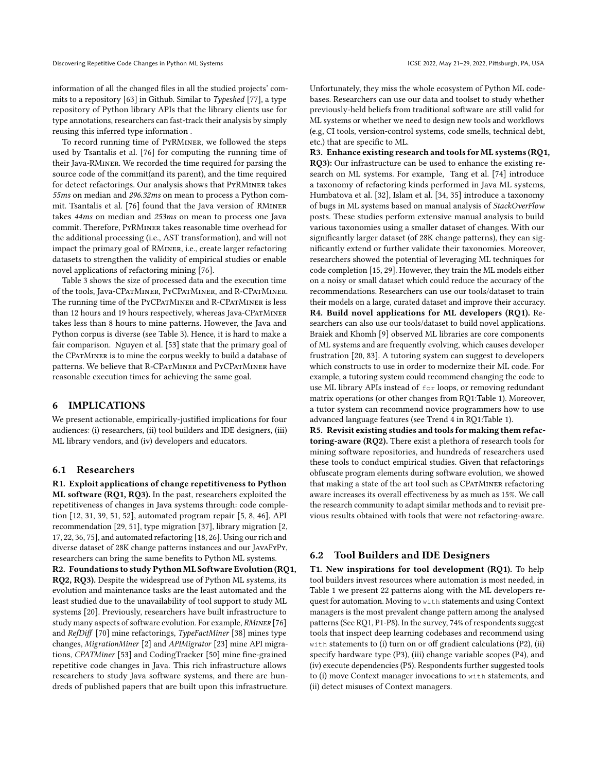information of all the changed files in all the studied projects' commits to a repository [\[63\]](#page-11-37) in Github. Similar to Typeshed [\[77\]](#page-11-38), a type repository of Python library APIs that the library clients use for type annotations, researchers can fast-track their analysis by simply reusing this inferred type information .

To record running time of PyRMiner, we followed the steps used by Tsantalis et al. [\[76\]](#page-11-14) for computing the running time of their Java-RMiner. We recorded the time required for parsing the source code of the commit(and its parent), and the time required for detect refactorings. Our analysis shows that PyRMiner takes 55ms on median and 296.32ms on mean to process a Python commit. Tsantalis et al. [\[76\]](#page-11-14) found that the Java version of RMiner takes 44ms on median and 253ms on mean to process one Java commit. Therefore, PyRMiner takes reasonable time overhead for the additional processing (i.e., AST transformation), and will not impact the primary goal of RMiner, i.e., create larger refactoring datasets to strengthen the validity of empirical studies or enable novel applications of refactoring mining [\[76\]](#page-11-14).

Table [3](#page-7-0) shows the size of processed data and the execution time of the tools, Java-CPatMiner, PyCPatMiner, and R-CPatMiner. The running time of the PYCPATMINER and R-CPATMINER is less than 12 hours and 19 hours respectively, whereas Java-CPATMINER takes less than 8 hours to mine patterns. However, the Java and Python corpus is diverse (see Table [3\)](#page-7-0). Hence, it is hard to make a fair comparison. Nguyen et al. [\[53\]](#page-11-12) state that the primary goal of the CPatMiner is to mine the corpus weekly to build a database of patterns. We believe that R-CPATMINER and PYCPATMINER have reasonable execution times for achieving the same goal.

### 6 IMPLICATIONS

We present actionable, empirically-justified implications for four audiences: (i) researchers, (ii) tool builders and IDE designers, (iii) ML library vendors, and (iv) developers and educators.

#### 6.1 Researchers

R1. Exploit applications of change repetitiveness to Python ML software (RQ1, RQ3). In the past, researchers exploited the repetitiveness of changes in Java systems through: code completion [\[12,](#page-10-3) [31,](#page-10-4) [39,](#page-11-3) [51,](#page-11-4) [52\]](#page-11-5), automated program repair [\[5,](#page-10-5) [8,](#page-10-6) [46\]](#page-11-6), API recommendation [\[29,](#page-10-7) [51\]](#page-11-4), type migration [\[37\]](#page-11-7), library migration [\[2,](#page-10-8) [17,](#page-10-9) [22,](#page-10-10) [36,](#page-11-8) [75\]](#page-11-9), and automated refactoring [\[18,](#page-10-11) [26\]](#page-10-12). Using our rich and diverse dataset of 28K change patterns instances and our JavaFyPy, researchers can bring the same benefits to Python ML systems. R2. Foundations to study Python ML Software Evolution (RQ1, RQ2, RQ3). Despite the widespread use of Python ML systems, its evolution and maintenance tasks are the least automated and the least studied due to the unavailability of tool support to study ML systems [\[20\]](#page-10-15). Previously, researchers have built infrastructure to study many aspects of software evolution. For example, RMINER [\[76\]](#page-11-14) and RefDiff [\[70\]](#page-11-13) mine refactorings, TypeFactMiner [\[38\]](#page-11-10) mines type changes, MigrationMiner [\[2\]](#page-10-8) and APIMigrator [\[23\]](#page-10-13) mine API migrations, CPATMiner [\[53\]](#page-11-12) and CodingTracker [\[50\]](#page-11-11) mine fine-grained repetitive code changes in Java. This rich infrastructure allows researchers to study Java software systems, and there are hundreds of published papers that are built upon this infrastructure.

Unfortunately, they miss the whole ecosystem of Python ML codebases. Researchers can use our data and toolset to study whether previously-held beliefs from traditional software are still valid for ML systems or whether we need to design new tools and workflows (e.g, CI tools, version-control systems, code smells, technical debt, etc.) that are specific to ML.

R3. Enhance existing research and tools for ML systems (RQ1, RQ3): Our infrastructure can be used to enhance the existing research on ML systems. For example, Tang et al. [\[74\]](#page-11-20) introduce a taxonomy of refactoring kinds performed in Java ML systems, Humbatova et al. [\[32\]](#page-10-16), Islam et al. [\[34,](#page-11-15) [35\]](#page-11-18) introduce a taxonomy of bugs in ML systems based on manual analysis of StackOverFlow posts. These studies perform extensive manual analysis to build various taxonomies using a smaller dataset of changes. With our significantly larger dataset (of 28K change patterns), they can significantly extend or further validate their taxonomies. Moreover, researchers showed the potential of leveraging ML techniques for code completion [\[15,](#page-10-28) [29\]](#page-10-7). However, they train the ML models either on a noisy or small dataset which could reduce the accuracy of the recommendations. Researchers can use our tools/dataset to train their models on a large, curated dataset and improve their accuracy. R4. Build novel applications for ML developers (RQ1). Researchers can also use our tools/dataset to build novel applications. Braiek and Khomh [\[9\]](#page-10-18) observed ML libraries are core components of ML systems and are frequently evolving, which causes developer frustration [\[20,](#page-10-15) [83\]](#page-12-1). A tutoring system can suggest to developers which constructs to use in order to modernize their ML code. For example, a tutoring system could recommend changing the code to use ML library APIs instead of for loops, or removing redundant matrix operations (or other changes from RQ1:Table [1\)](#page-6-0). Moreover, a tutor system can recommend novice programmers how to use advanced language features (see Trend 4 in RQ1:Table [1\)](#page-6-0).

R5. Revisit existing studies and tools for making them refactoring-aware (RQ2). There exist a plethora of research tools for mining software repositories, and hundreds of researchers used these tools to conduct empirical studies. Given that refactorings obfuscate program elements during software evolution, we showed that making a state of the art tool such as CPATMINER refactoring aware increases its overall effectiveness by as much as 15%. We call the research community to adapt similar methods and to revisit previous results obtained with tools that were not refactoring-aware.

# 6.2 Tool Builders and IDE Designers

T1. New inspirations for tool development (RQ1). To help tool builders invest resources where automation is most needed, in Table [1](#page-6-0) we present 22 patterns along with the ML developers request for automation. Moving to with statements and using Context managers is the most prevalent change pattern among the analysed patterns (See RQ1, P1-P8). In the survey, 74% of respondents suggest tools that inspect deep learning codebases and recommend using with statements to (i) turn on or off gradient calculations (P2), (ii) specify hardware type (P3), (iii) change variable scopes (P4), and (iv) execute dependencies (P5). Respondents further suggested tools to (i) move Context manager invocations to with statements, and (ii) detect misuses of Context managers.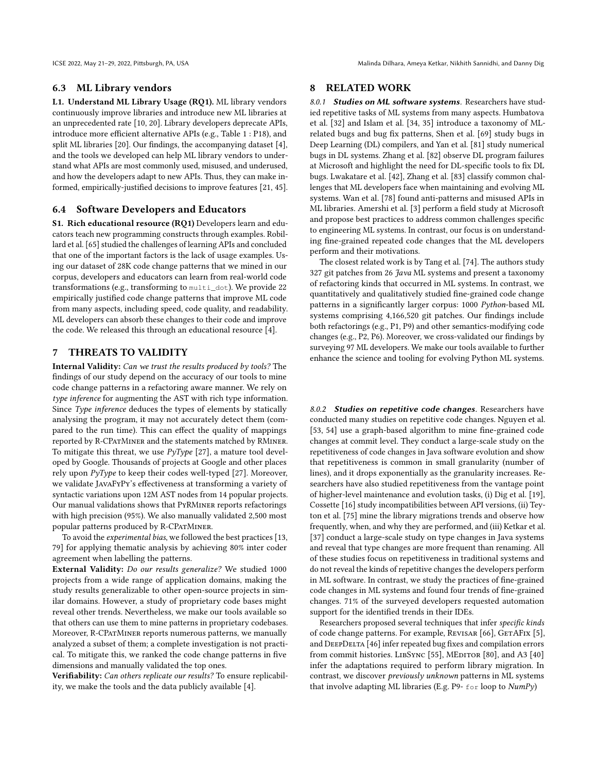# 6.3 ML Library vendors

L1. Understand ML Library Usage (RQ1). ML library vendors continuously improve libraries and introduce new ML libraries at an unprecedented rate [\[10,](#page-10-14) [20\]](#page-10-15). Library developers deprecate APIs, introduce more efficient alternative APIs (e.g., Table [1](#page-6-0) : P18), and split ML libraries [\[20\]](#page-10-15). Our findings, the accompanying dataset [\[4\]](#page-10-22), and the tools we developed can help ML library vendors to understand what APIs are most commonly used, misused, and underused, and how the developers adapt to new APIs. Thus, they can make informed, empirically-justified decisions to improve features [\[21,](#page-10-29) [45\]](#page-11-39).

### 6.4 Software Developers and Educators

S1. Rich educational resource (RQ1) Developers learn and educators teach new programming constructs through examples. Robillard et al. [\[65\]](#page-11-40) studied the challenges of learning APIs and concluded that one of the important factors is the lack of usage examples. Using our dataset of 28K code change patterns that we mined in our corpus, developers and educators can learn from real-world code transformations (e.g., transforming to multi\_dot). We provide 22 empirically justified code change patterns that improve ML code from many aspects, including speed, code quality, and readability. ML developers can absorb these changes to their code and improve the code. We released this through an educational resource [\[4\]](#page-10-22).

# 7 THREATS TO VALIDITY

Internal Validity: Can we trust the results produced by tools? The findings of our study depend on the accuracy of our tools to mine code change patterns in a refactoring aware manner. We rely on type inference for augmenting the AST with rich type information. Since Type inference deduces the types of elements by statically analysing the program, it may not accurately detect them (compared to the run time). This can effect the quality of mappings reported by R-CPatMiner and the statements matched by RMiner. To mitigate this threat, we use  $PvType$  [\[27\]](#page-10-23), a mature tool developed by Google. Thousands of projects at Google and other places rely upon  $PvType$  to keep their codes well-typed [\[27\]](#page-10-23). Moreover, we validate JavaFyPy's effectiveness at transforming a variety of syntactic variations upon 12M AST nodes from 14 popular projects. Our manual validations shows that PyRMiner reports refactorings with high precision (95%). We also manually validated 2,500 most popular patterns produced by R-CPatMiner.

To avoid the experimental bias, we followed the best practices [\[13,](#page-10-25) [79\]](#page-11-21) for applying thematic analysis by achieving 80% inter coder agreement when labelling the patterns.

External Validity: Do our results generalize? We studied 1000 projects from a wide range of application domains, making the study results generalizable to other open-source projects in similar domains. However, a study of proprietary code bases might reveal other trends. Nevertheless, we make our tools available so that others can use them to mine patterns in proprietary codebases. Moreover, R-CPatMiner reports numerous patterns, we manually analyzed a subset of them; a complete investigation is not practical. To mitigate this, we ranked the code change patterns in five dimensions and manually validated the top ones.

Verifiability: Can others replicate our results? To ensure replicability, we make the tools and the data publicly available [\[4\]](#page-10-22).

# 8 RELATED WORK

8.0.1 Studies on ML software systems. Researchers have studied repetitive tasks of ML systems from many aspects. Humbatova et al. [\[32\]](#page-10-16) and Islam et al. [\[34,](#page-11-15) [35\]](#page-11-18) introduce a taxonomy of MLrelated bugs and bug fix patterns, Shen et al. [\[69\]](#page-11-41) study bugs in Deep Learning (DL) compilers, and Yan et al. [\[81\]](#page-11-42) study numerical bugs in DL systems. Zhang et al. [\[82\]](#page-11-17) observe DL program failures at Microsoft and highlight the need for DL-specific tools to fix DL bugs. Lwakatare et al. [\[42\]](#page-11-43), Zhang et al. [\[83\]](#page-12-1) classify common challenges that ML developers face when maintaining and evolving ML systems. Wan et al. [\[78\]](#page-11-44) found anti-patterns and misused APIs in ML libraries. Amershi et al. [\[3\]](#page-10-30) perform a field study at Microsoft and propose best practices to address common challenges specific to engineering ML systems. In contrast, our focus is on understanding fine-grained repeated code changes that the ML developers perform and their motivations.

The closest related work is by Tang et al. [\[74\]](#page-11-20). The authors study 327 git patches from 26 Java ML systems and present a taxonomy of refactoring kinds that occurred in ML systems. In contrast, we quantitatively and qualitatively studied fine-grained code change patterns in a significantly larger corpus: 1000 Python-based ML systems comprising 4,166,520 git patches. Our findings include both refactorings (e.g., P1, P9) and other semantics-modifying code changes (e.g., P2, P6). Moreover, we cross-validated our findings by surveying 97 ML developers. We make our tools available to further enhance the science and tooling for evolving Python ML systems.

8.0.2 Studies on repetitive code changes. Researchers have conducted many studies on repetitive code changes. Nguyen et al. [\[53,](#page-11-12) [54\]](#page-11-23) use a graph-based algorithm to mine fine-grained code changes at commit level. They conduct a large-scale study on the repetitiveness of code changes in Java software evolution and show that repetitiveness is common in small granularity (number of lines), and it drops exponentially as the granularity increases. Researchers have also studied repetitiveness from the vantage point of higher-level maintenance and evolution tasks, (i) Dig et al. [\[19\]](#page-10-31), Cossette [\[16\]](#page-10-32) study incompatibilities between API versions, (ii) Teyton et al. [\[75\]](#page-11-9) mine the library migrations trends and observe how frequently, when, and why they are performed, and (iii) Ketkar et al. [\[37\]](#page-11-7) conduct a large-scale study on type changes in Java systems and reveal that type changes are more frequent than renaming. All of these studies focus on repetitiveness in traditional systems and do not reveal the kinds of repetitive changes the developers perform in ML software. In contrast, we study the practices of fine-grained code changes in ML systems and found four trends of fine-grained changes. 71% of the surveyed developers requested automation support for the identified trends in their IDEs.

Researchers proposed several techniques that infer specific kinds of code change patterns. For example, REVISAR [\[66\]](#page-11-45), GETAFIX [\[5\]](#page-10-5), and DEEPDELTA [\[46\]](#page-11-6) infer repeated bug fixes and compilation errors from commit histories. LIBSYNC [\[55\]](#page-11-46), MEDITOR [\[80\]](#page-11-47), and A3 [\[40\]](#page-11-48) infer the adaptations required to perform library migration. In contrast, we discover previously unknown patterns in ML systems that involve adapting ML libraries (E.g. P9- for loop to NumPy)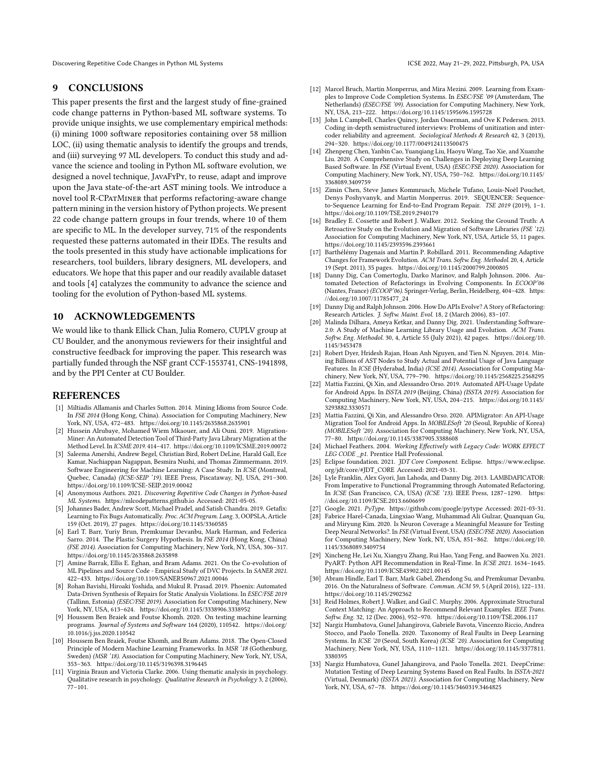Discovering Repetitive Code Changes in Python ML Systems ICSE 2022, May 21-29, 2022, Pittsburgh, PA, USA

#### 9 CONCLUSIONS

This paper presents the first and the largest study of fine-grained code change patterns in Python-based ML software systems. To provide unique insights, we use complementary empirical methods: (i) mining 1000 software repositories containing over 58 million LOC, (ii) using thematic analysis to identify the groups and trends, and (iii) surveying 97 ML developers. To conduct this study and advance the science and tooling in Python ML software evolution, we designed a novel technique, JavaFyPy, to reuse, adapt and improve upon the Java state-of-the-art AST mining tools. We introduce a novel tool R-CPatMiner that performs refactoring-aware change pattern mining in the version history of Python projects. We present 22 code change pattern groups in four trends, where 10 of them are specific to ML. In the developer survey, 71% of the respondents requested these patterns automated in their IDEs. The results and the tools presented in this study have actionable implications for researchers, tool builders, library designers, ML developers, and educators. We hope that this paper and our readily available dataset and tools [\[4\]](#page-10-22) catalyzes the community to advance the science and tooling for the evolution of Python-based ML systems.

# 10 ACKNOWLEDGEMENTS

We would like to thank Ellick Chan, Julia Romero, CUPLV group at CU Boulder, and the anonymous reviewers for their insightful and constructive feedback for improving the paper. This research was partially funded through the NSF grant CCF-1553741, CNS-1941898, and by the PPI Center at CU Boulder.

#### REFERENCES

- <span id="page-10-2"></span>[1] Miltiadis Allamanis and Charles Sutton. 2014. Mining Idioms from Source Code. In FSE 2014 (Hong Kong, China). Association for Computing Machinery, New York, NY, USA, 472–483.<https://doi.org/10.1145/2635868.2635901>
- <span id="page-10-8"></span>[2] Hussein Alrubaye, Mohamed Wiem Mkaouer, and Ali Ouni. 2019. Migration-Miner: An Automated Detection Tool of Third-Party Java Library Migration at the Method Level. In ICSME 2019. 414–417.<https://doi.org/10.1109/ICSME.2019.00072>
- <span id="page-10-30"></span>[3] Saleema Amershi, Andrew Begel, Christian Bird, Robert DeLine, Harald Gall, Ece Kamar, Nachiappan Nagappan, Besmira Nushi, and Thomas Zimmermann. 2019. Software Engineering for Machine Learning: A Case Study. In ICSE (Montreal, Quebec, Canada) (ICSE-SEIP '19). IEEE Press, Piscataway, NJ, USA, 291–300. <https://doi.org/10.1109/ICSE-SEIP.2019.00042>
- <span id="page-10-22"></span>[4] Anonymous Authors. 2021. Discovering Repetitive Code Changes in Python-based ML Systems.<https://mlcodepatterns.github.io> Accessed: 2021-05-05.
- <span id="page-10-5"></span>[5] Johannes Bader, Andrew Scott, Michael Pradel, and Satish Chandra. 2019. Getafix: Learning to Fix Bugs Automatically. Proc. ACM Program. Lang. 3, OOPSLA, Article 159 (Oct. 2019), 27 pages.<https://doi.org/10.1145/3360585>
- <span id="page-10-0"></span>[6] Earl T. Barr, Yuriy Brun, Premkumar Devanbu, Mark Harman, and Federica Sarro. 2014. The Plastic Surgery Hypothesis. In FSE 2014 (Hong Kong, China) (FSE 2014). Association for Computing Machinery, New York, NY, USA, 306–317. <https://doi.org/10.1145/2635868.2635898>
- <span id="page-10-17"></span>[7] Amine Barrak, Ellis E. Eghan, and Bram Adams. 2021. On the Co-evolution of ML Pipelines and Source Code - Empirical Study of DVC Projects. In SANER 2021. 422–433.<https://doi.org/10.1109/SANER50967.2021.00046>
- <span id="page-10-6"></span>[8] Rohan Bavishi, Hiroaki Yoshida, and Mukul R. Prasad. 2019. Phoenix: Automated Data-Driven Synthesis of Repairs for Static Analysis Violations. In ESEC/FSE 2019 (Tallinn, Estonia) (ESEC/FSE 2019). Association for Computing Machinery, New York, NY, USA, 613–624.<https://doi.org/10.1145/3338906.3338952>
- <span id="page-10-18"></span>[9] Houssem Ben Braiek and Foutse Khomh. 2020. On testing machine learning programs. Journal of Systems and Software 164 (2020), 110542. [https://doi.org/](https://doi.org/10.1016/j.jss.2020.110542) [10.1016/j.jss.2020.110542](https://doi.org/10.1016/j.jss.2020.110542)
- <span id="page-10-14"></span>[10] Houssem Ben Braiek, Foutse Khomh, and Bram Adams. 2018. The Open-Closed Principle of Modern Machine Learning Frameworks. In MSR '18 (Gothenburg, Sweden) (MSR '18). Association for Computing Machinery, New York, NY, USA, 353–363.<https://doi.org/10.1145/3196398.3196445>
- <span id="page-10-21"></span>[11] Virginia Braun and Victoria Clarke. 2006. Using thematic analysis in psychology. Qualitative research in psychology. Qualitative Research in Psychology 3, 2 (2006),  $77 - 101.$
- <span id="page-10-3"></span>[12] Marcel Bruch, Martin Monperrus, and Mira Mezini. 2009. Learning from Examples to Improve Code Completion Systems. In ESEC/FSE '09 (Amsterdam, The Netherlands) (ESEC/FSE '09). Association for Computing Machinery, New York, NY, USA, 213–222.<https://doi.org/10.1145/1595696.1595728>
- <span id="page-10-25"></span>[13] John L Campbell, Charles Quincy, Jordan Osserman, and Ove K Pedersen. 2013. Coding in-depth semistructured interviews: Problems of unitization and intercoder reliability and agreement. Sociological Methods & Research 42, 3 (2013), 294–320.<https://doi.org/10.1177/0049124113500475>
- <span id="page-10-26"></span>[14] Zhenpeng Chen, Yanbin Cao, Yuanqiang Liu, Haoyu Wang, Tao Xie, and Xuanzhe Liu. 2020. A Comprehensive Study on Challenges in Deploying Deep Learning Based Software. In FSE (Virtual Event, USA) (ESEC/FSE 2020). Association for Computing Machinery, New York, NY, USA, 750–762. [https://doi.org/10.1145/](https://doi.org/10.1145/3368089.3409759) [3368089.3409759](https://doi.org/10.1145/3368089.3409759)
- <span id="page-10-28"></span>[15] Zimin Chen, Steve James Kommrusch, Michele Tufano, Louis-Noël Pouchet, Denys Poshyvanyk, and Martin Monperrus. 2019. SEQUENCER: Sequenceto-Sequence Learning for End-to-End Program Repair. TSE 2019 (2019), 1–1. <https://doi.org/10.1109/TSE.2019.2940179>
- <span id="page-10-32"></span>[16] Bradley E. Cossette and Robert J. Walker. 2012. Seeking the Ground Truth: A Retroactive Study on the Evolution and Migration of Software Libraries (FSE '12). Association for Computing Machinery, New York, NY, USA, Article 55, 11 pages. <https://doi.org/10.1145/2393596.2393661>
- <span id="page-10-9"></span>[17] Barthélémy Dagenais and Martin P. Robillard. 2011. Recommending Adaptive Changes for Framework Evolution. ACM Trans. Softw. Eng. Methodol. 20, 4, Article 19 (Sept. 2011), 35 pages.<https://doi.org/10.1145/2000799.2000805>
- <span id="page-10-11"></span>[18] Danny Dig, Can Comertoglu, Darko Marinov, and Ralph Johnson. 2006. Automated Detection of Refactorings in Evolving Components. In ECOOP'06 (Nantes, France) (ECOOP'06). Springer-Verlag, Berlin, Heidelberg, 404–428. [https:](https://doi.org/10.1007/11785477_24) [//doi.org/10.1007/11785477\\_24](https://doi.org/10.1007/11785477_24)
- <span id="page-10-31"></span>[19] Danny Dig and Ralph Johnson. 2006. How Do APIs Evolve? A Story of Refactoring: Research Articles. J. Softw. Maint. Evol. 18, 2 (March 2006), 83-107.
- <span id="page-10-15"></span>[20] Malinda Dilhara, Ameya Ketkar, and Danny Dig. 2021. Understanding Software-2.0: A Study of Machine Learning Library Usage and Evolution. ACM Trans. Softw. Eng. Methodol. 30, 4, Article 55 (July 2021), 42 pages. [https://doi.org/10.](https://doi.org/10.1145/3453478) [1145/3453478](https://doi.org/10.1145/3453478)
- <span id="page-10-29"></span>[21] Robert Dyer, Hridesh Rajan, Hoan Anh Nguyen, and Tien N. Nguyen. 2014. Mining Billions of AST Nodes to Study Actual and Potential Usage of Java Language Features. In *ICSE* (Hyderabad, India) (*ICSE 2014*). Association for Computing Machinery, New York, NY, USA, 779–790.<https://doi.org/10.1145/2568225.2568295>
- <span id="page-10-10"></span>[22] Mattia Fazzini, Qi Xin, and Alessandro Orso. 2019. Automated API-Usage Update for Android Apps. In ISSTA 2019 (Beijing, China) (ISSTA 2019). Association for Computing Machinery, New York, NY, USA, 204–215. [https://doi.org/10.1145/](https://doi.org/10.1145/3293882.3330571) [3293882.3330571](https://doi.org/10.1145/3293882.3330571)
- <span id="page-10-13"></span>[23] Mattia Fazzini, Qi Xin, and Alessandro Orso. 2020. APIMigrator: An API-Usage Migration Tool for Android Apps. In MOBILESoft '20 (Seoul, Republic of Korea) (MOBILESoft '20). Association for Computing Machinery, New York, NY, USA, 77–80.<https://doi.org/10.1145/3387905.3388608>
- <span id="page-10-27"></span>[24] Michael Feathers. 2004. Working Effectively with Legacy Code: WORK EFFECT LEG CODE \_p1. Prentice Hall Professional.
- <span id="page-10-24"></span>[25] Eclipse foundation. 2021. JDT Core Component. Eclipse. [https://www.eclipse.](https://www.eclipse.org/jdt/core/#JDT_CORE) [org/jdt/core/#JDT\\_CORE](https://www.eclipse.org/jdt/core/#JDT_CORE) Accessed: 2021-03-31.
- <span id="page-10-12"></span>[26] Lyle Franklin, Alex Gyori, Jan Lahoda, and Danny Dig. 2013. LAMBDAFICATOR: From Imperative to Functional Programming through Automated Refactoring. In ICSE (San Francisco, CA, USA) (ICSE '13). IEEE Press, 1287–1290. [https:](https://doi.org/10.1109/ICSE.2013.6606699) [//doi.org/10.1109/ICSE.2013.6606699](https://doi.org/10.1109/ICSE.2013.6606699)
- <span id="page-10-23"></span><span id="page-10-19"></span>[27] Google. 2021. PyType.<https://github.com/google/pytype> Accessed: 2021-03-31. [28] Fabrice Harel-Canada, Lingxiao Wang, Muhammad Ali Gulzar, Quanquan Gu, and Miryung Kim. 2020. Is Neuron Coverage a Meaningful Measure for Testing Deep Neural Networks?. In FSE (Virtual Event, USA) (ESEC/FSE 2020). Association for Computing Machinery, New York, NY, USA, 851–862. [https://doi.org/10.](https://doi.org/10.1145/3368089.3409754) [1145/3368089.3409754](https://doi.org/10.1145/3368089.3409754)
- <span id="page-10-7"></span>[29] Xincheng He, Lei Xu, Xiangyu Zhang, Rui Hao, Yang Feng, and Baowen Xu. 2021. PyART: Python API Recommendation in Real-Time. In ICSE 2021. 1634–1645. <https://doi.org/10.1109/ICSE43902.2021.00145>
- <span id="page-10-1"></span>[30] Abram Hindle, Earl T. Barr, Mark Gabel, Zhendong Su, and Premkumar Devanbu. 2016. On the Naturalness of Software. Commun. ACM 59, 5 (April 2016), 122–131. <https://doi.org/10.1145/2902362>
- <span id="page-10-4"></span>[31] Reid Holmes, Robert J. Walker, and Gail C. Murphy. 2006. Approximate Structural Context Matching: An Approach to Recommend Relevant Examples. IEEE Trans. Softw. Eng. 32, 12 (Dec. 2006), 952–970.<https://doi.org/10.1109/TSE.2006.117>
- <span id="page-10-16"></span>[32] Nargiz Humbatova, Gunel Jahangirova, Gabriele Bavota, Vincenzo Riccio, Andrea Stocco, and Paolo Tonella. 2020. Taxonomy of Real Faults in Deep Learning Systems. In ICSE '20 (Seoul, South Korea) (ICSE '20). Association for Computing Machinery, New York, NY, USA, 1110–1121. [https://doi.org/10.1145/3377811.](https://doi.org/10.1145/3377811.3380395) [3380395](https://doi.org/10.1145/3377811.3380395)
- <span id="page-10-20"></span>[33] Nargiz Humbatova, Gunel Jahangirova, and Paolo Tonella. 2021. DeepCrime: Mutation Testing of Deep Learning Systems Based on Real Faults. In ISSTA-2021 (Virtual, Denmark) (ISSTA 2021). Association for Computing Machinery, New York, NY, USA, 67–78.<https://doi.org/10.1145/3460319.3464825>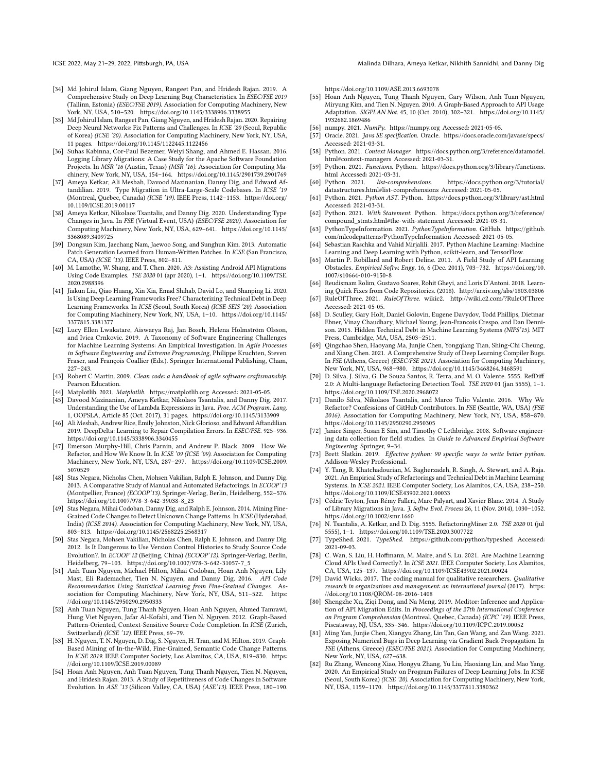ICSE 2022, May 21–29, 2022, Pittsburgh, PA, USA Malinda Dilhara, Ameya Ketkar, Nikhith Sannidhi, and Danny Dig

- <span id="page-11-15"></span>[34] Md Johirul Islam, Giang Nguyen, Rangeet Pan, and Hridesh Rajan. 2019. A Comprehensive Study on Deep Learning Bug Characteristics. In ESEC/FSE 2019 (Tallinn, Estonia) (ESEC/FSE 2019). Association for Computing Machinery, New York, NY, USA, 510–520.<https://doi.org/10.1145/3338906.3338955>
- <span id="page-11-18"></span>[35] Md Johirul Islam, Rangeet Pan, Giang Nguyen, and Hridesh Rajan. 2020. Repairing Deep Neural Networks: Fix Patterns and Challenges. In ICSE '20 (Seoul, Republic of Korea) (ICSE '20). Association for Computing Machinery, New York, NY, USA, 11 pages.<https://doi.org/10.1145/1122445.1122456>
- <span id="page-11-8"></span>[36] Suhas Kabinna, Cor-Paul Bezemer, Weiyi Shang, and Ahmed E. Hassan. 2016. Logging Library Migrations: A Case Study for the Apache Software Foundation Projects. In MSR '16 (Austin, Texas) (MSR '16). Association for Computing Machinery, New York, NY, USA, 154–164.<https://doi.org/10.1145/2901739.2901769>
- <span id="page-11-7"></span>[37] Ameya Ketkar, Ali Mesbah, Davood Mazinanian, Danny Dig, and Edward Aftandilian. 2019. Type Migration in Ultra-Large-Scale Codebases. In ICSE '19 (Montreal, Quebec, Canada) (ICSE '19). IEEE Press, 1142–1153. [https://doi.org/](https://doi.org/10.1109/ICSE.2019.00117) [10.1109/ICSE.2019.00117](https://doi.org/10.1109/ICSE.2019.00117)
- <span id="page-11-10"></span>[38] Ameya Ketkar, Nikolaos Tsantalis, and Danny Dig. 2020. Understanding Type Changes in Java. In FSE (Virtual Event, USA) (ESEC/FSE 2020). Association for Computing Machinery, New York, NY, USA, 629–641. [https://doi.org/10.1145/](https://doi.org/10.1145/3368089.3409725) [3368089.3409725](https://doi.org/10.1145/3368089.3409725)
- <span id="page-11-3"></span>[39] Dongsun Kim, Jaechang Nam, Jaewoo Song, and Sunghun Kim. 2013. Automatic Patch Generation Learned from Human-Written Patches. In ICSE (San Francisco, CA, USA) (ICSE '13). IEEE Press, 802–811.
- <span id="page-11-48"></span>[40] M. Lamothe, W. Shang, and T. Chen. 2020. A3: Assisting Android API Migrations Using Code Examples. TSE 2020 01 (apr 2020), 1–1. [https://doi.org/10.1109/TSE.](https://doi.org/10.1109/TSE.2020.2988396) [2020.2988396](https://doi.org/10.1109/TSE.2020.2988396)
- <span id="page-11-34"></span>[41] Jiakun Liu, Qiao Huang, Xin Xia, Emad Shihab, David Lo, and Shanping Li. 2020. Is Using Deep Learning Frameworks Free? Characterizing Technical Debt in Deep Learning Frameworks. In ICSE (Seoul, South Korea) (ICSE-SEIS '20). Association for Computing Machinery, New York, NY, USA, 1–10. [https://doi.org/10.1145/](https://doi.org/10.1145/3377815.3381377) [3377815.3381377](https://doi.org/10.1145/3377815.3381377)
- <span id="page-11-43"></span>[42] Lucy Ellen Lwakatare, Aiswarya Raj, Jan Bosch, Helena Holmström Olsson, and Ivica Crnkovic. 2019. A Taxonomy of Software Engineering Challenges for Machine Learning Systems: An Empirical Investigation. In Agile Processes in Software Engineering and Extreme Programming, Philippe Kruchten, Steven Fraser, and François Coallier (Eds.). Springer International Publishing, Cham,  $227 - 243$
- <span id="page-11-35"></span>[43] Robert C Martin. 2009. Clean code: a handbook of agile software craftsmanship. Pearson Education.
- <span id="page-11-31"></span>[44] Matplotlib. 2021. Matplotlib.<https://matplotlib.org> Accessed: 2021-05-05.
- <span id="page-11-39"></span>[45] Davood Mazinanian, Ameya Ketkar, Nikolaos Tsantalis, and Danny Dig. 2017. Understanding the Use of Lambda Expressions in Java. Proc. ACM Program. Lang. 1, OOPSLA, Article 85 (Oct. 2017), 31 pages.<https://doi.org/10.1145/3133909>
- <span id="page-11-6"></span>[46] Ali Mesbah, Andrew Rice, Emily Johnston, Nick Glorioso, and Edward Aftandilian. 2019. DeepDelta: Learning to Repair Compilation Errors. In ESEC/FSE. 925–936. <https://doi.org/10.1145/3338906.3340455>
- <span id="page-11-24"></span>[47] Emerson Murphy-Hill, Chris Parnin, and Andrew P. Black. 2009. How We Refactor, and How We Know It. In ICSE '09 (ICSE '09). Association for Computing Machinery, New York, NY, USA, 287–297. [https://doi.org/10.1109/ICSE.2009.](https://doi.org/10.1109/ICSE.2009.5070529) [5070529](https://doi.org/10.1109/ICSE.2009.5070529)
- <span id="page-11-25"></span>[48] Stas Negara, Nicholas Chen, Mohsen Vakilian, Ralph E. Johnson, and Danny Dig. 2013. A Comparative Study of Manual and Automated Refactorings. In ECOOP'13 (Montpellier, France) (ECOOP'13). Springer-Verlag, Berlin, Heidelberg, 552–576. [https://doi.org/10.1007/978-3-642-39038-8\\_23](https://doi.org/10.1007/978-3-642-39038-8_23)
- <span id="page-11-0"></span>[49] Stas Negara, Mihai Codoban, Danny Dig, and Ralph E. Johnson. 2014. Mining Fine-Grained Code Changes to Detect Unknown Change Patterns. In ICSE (Hyderabad, India) (ICSE 2014). Association for Computing Machinery, New York, NY, USA, 803–813.<https://doi.org/10.1145/2568225.2568317>
- <span id="page-11-11"></span>[50] Stas Negara, Mohsen Vakilian, Nicholas Chen, Ralph E. Johnson, and Danny Dig. 2012. Is It Dangerous to Use Version Control Histories to Study Source Code Evolution?. In ECOOP'12 (Beijing, China) (ECOOP'12). Springer-Verlag, Berlin, Heidelberg, 79–103. [https://doi.org/10.1007/978-3-642-31057-7\\_5](https://doi.org/10.1007/978-3-642-31057-7_5)
- <span id="page-11-4"></span>[51] Anh Tuan Nguyen, Michael Hilton, Mihai Codoban, Hoan Anh Nguyen, Lily Mast, Eli Rademacher, Tien N. Nguyen, and Danny Dig. 2016. API Code Recommendation Using Statistical Learning from Fine-Grained Changes. Association for Computing Machinery, New York, NY, USA, 511–522. [https:](https://doi.org/10.1145/2950290.2950333) [//doi.org/10.1145/2950290.2950333](https://doi.org/10.1145/2950290.2950333)
- <span id="page-11-5"></span>[52] Anh Tuan Nguyen, Tung Thanh Nguyen, Hoan Anh Nguyen, Ahmed Tamrawi, Hung Viet Nguyen, Jafar Al-Kofahi, and Tien N. Nguyen. 2012. Graph-Based Pattern-Oriented, Context-Sensitive Source Code Completion. In ICSE (Zurich, Switzerland) (ICSE '12). IEEE Press, 69–79.
- <span id="page-11-12"></span>[53] H. Nguyen, T. N. Nguyen, D. Dig, S. Nguyen, H. Tran, and M. Hilton. 2019. Graph-Based Mining of In-the-Wild, Fine-Grained, Semantic Code Change Patterns. In ICSE 2019. IEEE Computer Society, Los Alamitos, CA, USA, 819–830. [https:](https://doi.org/10.1109/ICSE.2019.00089) [//doi.org/10.1109/ICSE.2019.00089](https://doi.org/10.1109/ICSE.2019.00089)
- <span id="page-11-23"></span>[54] Hoan Anh Nguyen, Anh Tuan Nguyen, Tung Thanh Nguyen, Tien N. Nguyen, and Hridesh Rajan. 2013. A Study of Repetitiveness of Code Changes in Software Evolution. In ASE '13 (Silicon Valley, CA, USA) (ASE'13). IEEE Press, 180–190.

<https://doi.org/10.1109/ASE.2013.6693078>

- <span id="page-11-46"></span>[55] Hoan Anh Nguyen, Tung Thanh Nguyen, Gary Wilson, Anh Tuan Nguyen, Miryung Kim, and Tien N. Nguyen. 2010. A Graph-Based Approach to API Usage Adaptation. SIGPLAN Not. 45, 10 (Oct. 2010), 302–321. [https://doi.org/10.1145/](https://doi.org/10.1145/1932682.1869486) [1932682.1869486](https://doi.org/10.1145/1932682.1869486)
- <span id="page-11-1"></span>[56] numpy. 2021. NumPy.<https://numpy.org> Accessed: 2021-05-05.
- <span id="page-11-27"></span>[57] Oracle. 2021. Java SE specification. Oracle.<https://docs.oracle.com/javase/specs/> Accessed: 2021-03-31.
- <span id="page-11-22"></span>[58] Python. 2021. Context Manager. [https://docs.python.org/3/reference/datamodel.](https://docs.python.org/3/reference/datamodel.html#context-managers) [html#context-managers](https://docs.python.org/3/reference/datamodel.html#context-managers) Accessed: 2021-03-31.
- <span id="page-11-32"></span>[59] Python. 2021. Functions. Python. [https://docs.python.org/3/library/functions.](https://docs.python.org/3/library/functions.html) [html](https://docs.python.org/3/library/functions.html) Accessed: 2021-03-31.<br>[60] Python. 2021. *list-comprehensions*.
- <span id="page-11-33"></span>https://docs.python.org/3/tutorial/ [datastructures.html#list-comprehensions](https://docs.python.org/3/tutorial/datastructures.html#list-comprehensions) Accessed: 2021-05-05.
- <span id="page-11-28"></span>[61] Python. 2021. Python AST. Python.<https://docs.python.org/3/library/ast.html> Accessed: 2021-03-31.
- <span id="page-11-30"></span>[62] Python. 2021. With Statement. Python. [https://docs.python.org/3/reference/](https://docs.python.org/3/reference/compound_stmts.html#the-with-statement) [compound\\_stmts.html#the-with-statement](https://docs.python.org/3/reference/compound_stmts.html#the-with-statement) Accessed: 2021-03-31.
- <span id="page-11-37"></span>[63] PythonTypeInformation. 2021. PythonTypeInformation. GitHub. [https://github.](https://github.com/mlcodepatterns/PythonTypeInformation) [com/mlcodepatterns/PythonTypeInformation](https://github.com/mlcodepatterns/PythonTypeInformation) Accessed: 2021-05-05.
- <span id="page-11-16"></span>[64] Sebastian Raschka and Vahid Mirjalili. 2017. Python Machine Learning: Machine Learning and Deep Learning with Python, scikit-learn, and TensorFlow.
- <span id="page-11-40"></span>[65] Martin P. Robillard and Robert Deline. 2011. A Field Study of API Learning Obstacles. Empirical Softw. Engg. 16, 6 (Dec. 2011), 703–732. [https://doi.org/10.](https://doi.org/10.1007/s10664-010-9150-8) [1007/s10664-010-9150-8](https://doi.org/10.1007/s10664-010-9150-8)
- <span id="page-11-45"></span>[66] Reudismam Rolim, Gustavo Soares, Rohit Gheyi, and Loris D'Antoni. 2018. Learn-ing Quick Fixes from Code Repositories. (2018).<http://arxiv.org/abs/1803.03806>
- <span id="page-11-36"></span>[67] RuleOfThree. 2021. RuleOfThree. wikic2.<http://wiki.c2.com/?RuleOfThree> Accessed: 2021-05-05.
- <span id="page-11-19"></span>[68] D. Sculley, Gary Holt, Daniel Golovin, Eugene Davydov, Todd Phillips, Dietmar Ebner, Vinay Chaudhary, Michael Young, Jean-Francois Crespo, and Dan Dennison. 2015. Hidden Technical Debt in Machine Learning Systems (NIPS'15). MIT Press, Cambridge, MA, USA, 2503–2511.
- <span id="page-11-41"></span>[69] Qingchao Shen, Haoyang Ma, Junjie Chen, Yongqiang Tian, Shing-Chi Cheung, and Xiang Chen. 2021. A Comprehensive Study of Deep Learning Compiler Bugs. In FSE (Athens, Greece) (ESEC/FSE 2021). Association for Computing Machinery, New York, NY, USA, 968–980.<https://doi.org/10.1145/3468264.3468591>
- <span id="page-11-13"></span>[70] D. Silva, J. Silva, G. De Souza Santos, R. Terra, and M. O. Valente. 5555. RefDiff 2.0: A Multi-language Refactoring Detection Tool. TSE 2020 01 (jan 5555), 1–1. <https://doi.org/10.1109/TSE.2020.2968072>
- <span id="page-11-26"></span>[71] Danilo Silva, Nikolaos Tsantalis, and Marco Tulio Valente. 2016. Why We Refactor? Confessions of GitHub Contributors. In FSE (Seattle, WA, USA) (FSE 2016). Association for Computing Machinery, New York, NY, USA, 858–870. <https://doi.org/10.1145/2950290.2950305>
- <span id="page-11-29"></span>[72] Janice Singer, Susan E Sim, and Timothy C Lethbridge. 2008. Software engineering data collection for field studies. In Guide to Advanced Empirical Software Engineering. Springer, 9–34.
- <span id="page-11-2"></span>[73] Brett Slatkin. 2019. Effective python: 90 specific ways to write better python. Addison-Wesley Professional.
- <span id="page-11-20"></span>[74] Y. Tang, R. Khatchadourian, M. Bagherzadeh, R. Singh, A. Stewart, and A. Raja. 2021. An Empirical Study of Refactorings and Technical Debt in Machine Learning Systems. In ICSE 2021. IEEE Computer Society, Los Alamitos, CA, USA, 238–250. <https://doi.org/10.1109/ICSE43902.2021.00033>
- <span id="page-11-9"></span>[75] Cédric Teyton, Jean-Rémy Falleri, Marc Palyart, and Xavier Blanc. 2014. A Study of Library Migrations in Java. J. Softw. Evol. Process 26, 11 (Nov. 2014), 1030–1052. <https://doi.org/10.1002/smr.1660>
- <span id="page-11-14"></span>[76] N. Tsantalis, A. Ketkar, and D. Dig. 5555. RefactoringMiner 2.0. TSE 2020 01 (jul 5555), 1–1.<https://doi.org/10.1109/TSE.2020.3007722>
- <span id="page-11-38"></span>[77] TypeShed. 2021. TypeShed.<https://github.com/python/typeshed> Accessed: 2021-09-03.
- <span id="page-11-44"></span>[78] C. Wan, S. Liu, H. Hoffmann, M. Maire, and S. Lu. 2021. Are Machine Learning Cloud APIs Used Correctly?. In ICSE 2021. IEEE Computer Society, Los Alamitos, CA, USA, 125–137.<https://doi.org/10.1109/ICSE43902.2021.00024>
- <span id="page-11-21"></span>[79] David Wicks. 2017. The coding manual for qualitative researchers. Qualitative research in organizations and management: an international journal (2017). [https:](https://doi.org/10.1108/QROM-08-2016-1408) [//doi.org/10.1108/QROM-08-2016-1408](https://doi.org/10.1108/QROM-08-2016-1408)
- <span id="page-11-47"></span>[80] Shengzhe Xu, Ziqi Dong, and Na Meng. 2019. Meditor: Inference and Application of API Migration Edits. In Proceedings of the 27th International Conference on Program Comprehension (Montreal, Quebec, Canada) (ICPC '19). IEEE Press, Piscataway, NJ, USA, 335–346.<https://doi.org/10.1109/ICPC.2019.00052>
- <span id="page-11-42"></span>[81] Ming Yan, Junjie Chen, Xiangyu Zhang, Lin Tan, Gan Wang, and Zan Wang. 2021. Exposing Numerical Bugs in Deep Learning via Gradient Back-Propagation. In FSE (Athens, Greece) (ESEC/FSE 2021). Association for Computing Machinery, New York, NY, USA, 627–638.
- <span id="page-11-17"></span>[82] Ru Zhang, Wencong Xiao, Hongyu Zhang, Yu Liu, Haoxiang Lin, and Mao Yang. 2020. An Empirical Study on Program Failures of Deep Learning Jobs. In ICSE (Seoul, South Korea) (ICSE '20). Association for Computing Machinery, New York, NY, USA, 1159–1170.<https://doi.org/10.1145/3377811.3380362>